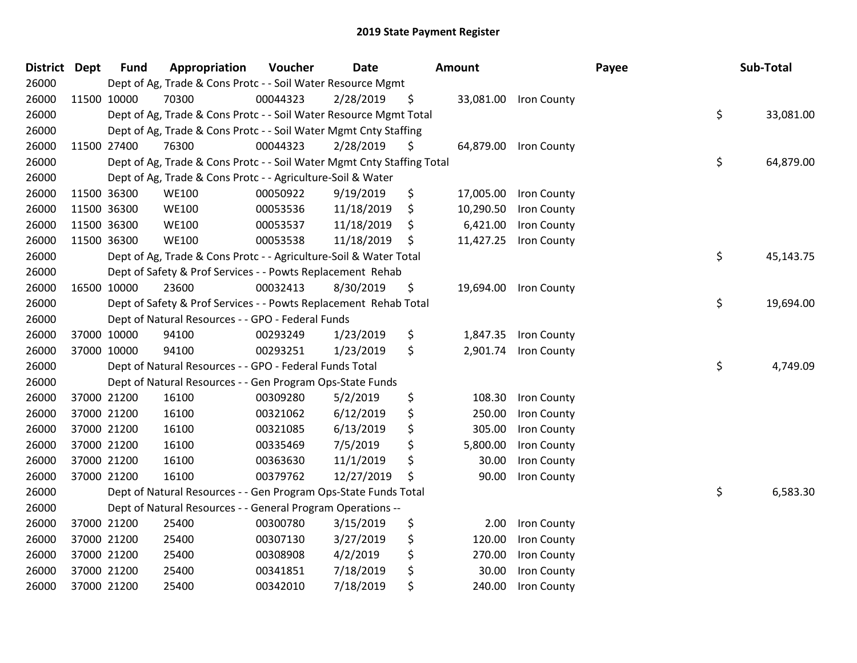| <b>District Dept</b> |             | <b>Fund</b> | Appropriation                                                          | Voucher  | <b>Date</b> |    | <b>Amount</b> |                       | Payee | Sub-Total       |
|----------------------|-------------|-------------|------------------------------------------------------------------------|----------|-------------|----|---------------|-----------------------|-------|-----------------|
| 26000                |             |             | Dept of Ag, Trade & Cons Protc - - Soil Water Resource Mgmt            |          |             |    |               |                       |       |                 |
| 26000                | 11500 10000 |             | 70300                                                                  | 00044323 | 2/28/2019   | \$ |               | 33,081.00 Iron County |       |                 |
| 26000                |             |             | Dept of Ag, Trade & Cons Protc - - Soil Water Resource Mgmt Total      |          |             |    |               |                       |       | \$<br>33,081.00 |
| 26000                |             |             | Dept of Ag, Trade & Cons Protc - - Soil Water Mgmt Cnty Staffing       |          |             |    |               |                       |       |                 |
| 26000                | 11500 27400 |             | 76300                                                                  | 00044323 | 2/28/2019   | \$ |               | 64,879.00 Iron County |       |                 |
| 26000                |             |             | Dept of Ag, Trade & Cons Protc - - Soil Water Mgmt Cnty Staffing Total |          |             |    |               |                       |       | \$<br>64,879.00 |
| 26000                |             |             | Dept of Ag, Trade & Cons Protc - - Agriculture-Soil & Water            |          |             |    |               |                       |       |                 |
| 26000                | 11500 36300 |             | <b>WE100</b>                                                           | 00050922 | 9/19/2019   | \$ | 17,005.00     | Iron County           |       |                 |
| 26000                | 11500 36300 |             | <b>WE100</b>                                                           | 00053536 | 11/18/2019  | \$ | 10,290.50     | Iron County           |       |                 |
| 26000                | 11500 36300 |             | <b>WE100</b>                                                           | 00053537 | 11/18/2019  | \$ | 6,421.00      | Iron County           |       |                 |
| 26000                | 11500 36300 |             | <b>WE100</b>                                                           | 00053538 | 11/18/2019  | -S | 11,427.25     | Iron County           |       |                 |
| 26000                |             |             | Dept of Ag, Trade & Cons Protc - - Agriculture-Soil & Water Total      |          |             |    |               |                       |       | \$<br>45,143.75 |
| 26000                |             |             | Dept of Safety & Prof Services - - Powts Replacement Rehab             |          |             |    |               |                       |       |                 |
| 26000                | 16500 10000 |             | 23600                                                                  | 00032413 | 8/30/2019   | \$ |               | 19,694.00 Iron County |       |                 |
| 26000                |             |             | Dept of Safety & Prof Services - - Powts Replacement Rehab Total       |          |             |    |               |                       |       | \$<br>19,694.00 |
| 26000                |             |             | Dept of Natural Resources - - GPO - Federal Funds                      |          |             |    |               |                       |       |                 |
| 26000                | 37000 10000 |             | 94100                                                                  | 00293249 | 1/23/2019   | \$ | 1,847.35      | Iron County           |       |                 |
| 26000                | 37000 10000 |             | 94100                                                                  | 00293251 | 1/23/2019   | \$ |               | 2,901.74 Iron County  |       |                 |
| 26000                |             |             | Dept of Natural Resources - - GPO - Federal Funds Total                |          |             |    |               |                       |       | \$<br>4,749.09  |
| 26000                |             |             | Dept of Natural Resources - - Gen Program Ops-State Funds              |          |             |    |               |                       |       |                 |
| 26000                | 37000 21200 |             | 16100                                                                  | 00309280 | 5/2/2019    | \$ | 108.30        | Iron County           |       |                 |
| 26000                | 37000 21200 |             | 16100                                                                  | 00321062 | 6/12/2019   | \$ | 250.00        | Iron County           |       |                 |
| 26000                | 37000 21200 |             | 16100                                                                  | 00321085 | 6/13/2019   | \$ | 305.00        | Iron County           |       |                 |
| 26000                | 37000 21200 |             | 16100                                                                  | 00335469 | 7/5/2019    | \$ | 5,800.00      | Iron County           |       |                 |
| 26000                | 37000 21200 |             | 16100                                                                  | 00363630 | 11/1/2019   | \$ | 30.00         | Iron County           |       |                 |
| 26000                | 37000 21200 |             | 16100                                                                  | 00379762 | 12/27/2019  | \$ | 90.00         | Iron County           |       |                 |
| 26000                |             |             | Dept of Natural Resources - - Gen Program Ops-State Funds Total        |          |             |    |               |                       |       | \$<br>6,583.30  |
| 26000                |             |             | Dept of Natural Resources - - General Program Operations --            |          |             |    |               |                       |       |                 |
| 26000                | 37000 21200 |             | 25400                                                                  | 00300780 | 3/15/2019   | \$ | 2.00          | Iron County           |       |                 |
| 26000                | 37000 21200 |             | 25400                                                                  | 00307130 | 3/27/2019   | \$ | 120.00        | Iron County           |       |                 |
| 26000                | 37000 21200 |             | 25400                                                                  | 00308908 | 4/2/2019    | \$ | 270.00        | Iron County           |       |                 |
| 26000                | 37000 21200 |             | 25400                                                                  | 00341851 | 7/18/2019   | \$ | 30.00         | <b>Iron County</b>    |       |                 |
| 26000                | 37000 21200 |             | 25400                                                                  | 00342010 | 7/18/2019   | \$ | 240.00        | Iron County           |       |                 |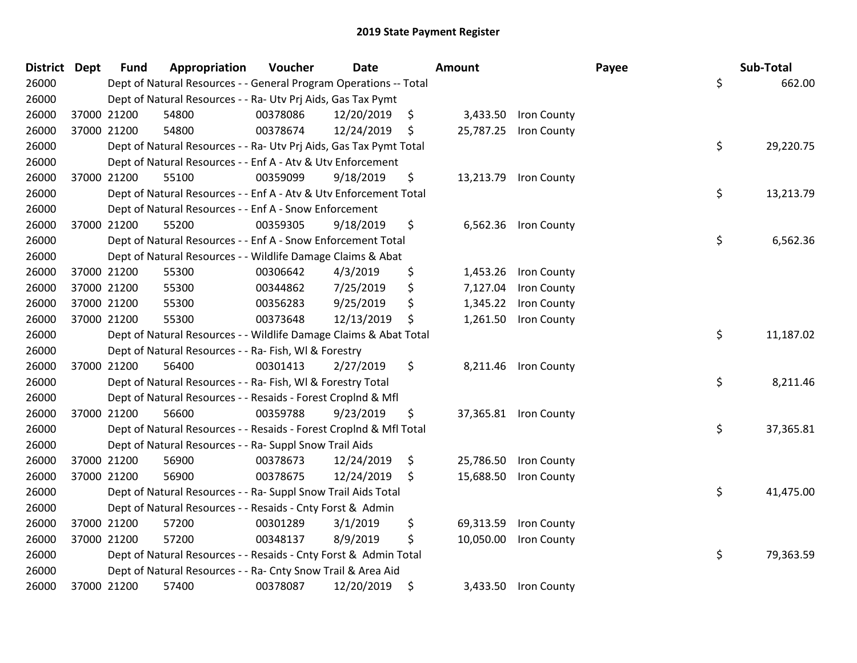| District Dept |             | <b>Fund</b> | Appropriation                                                      | Voucher  | Date       |    | <b>Amount</b> |                       | Payee | Sub-Total |  |  |  |
|---------------|-------------|-------------|--------------------------------------------------------------------|----------|------------|----|---------------|-----------------------|-------|-----------|--|--|--|
| 26000         |             |             | Dept of Natural Resources - - General Program Operations -- Total  |          |            |    |               |                       | \$    | 662.00    |  |  |  |
| 26000         |             |             | Dept of Natural Resources - - Ra- Utv Prj Aids, Gas Tax Pymt       |          |            |    |               |                       |       |           |  |  |  |
| 26000         | 37000 21200 |             | 54800                                                              | 00378086 | 12/20/2019 | \$ |               | 3,433.50 Iron County  |       |           |  |  |  |
| 26000         | 37000 21200 |             | 54800                                                              | 00378674 | 12/24/2019 | \$ | 25,787.25     | <b>Iron County</b>    |       |           |  |  |  |
| 26000         |             |             | Dept of Natural Resources - - Ra- Utv Prj Aids, Gas Tax Pymt Total |          |            |    |               |                       | \$    | 29,220.75 |  |  |  |
| 26000         |             |             | Dept of Natural Resources - - Enf A - Atv & Utv Enforcement        |          |            |    |               |                       |       |           |  |  |  |
| 26000         |             | 37000 21200 | 55100                                                              | 00359099 | 9/18/2019  | \$ |               | 13,213.79 Iron County |       |           |  |  |  |
| 26000         |             |             | Dept of Natural Resources - - Enf A - Atv & Utv Enforcement Total  |          |            |    |               |                       | \$    | 13,213.79 |  |  |  |
| 26000         |             |             | Dept of Natural Resources - - Enf A - Snow Enforcement             |          |            |    |               |                       |       |           |  |  |  |
| 26000         | 37000 21200 |             | 55200                                                              | 00359305 | 9/18/2019  | \$ |               | 6,562.36 Iron County  |       |           |  |  |  |
| 26000         |             |             | Dept of Natural Resources - - Enf A - Snow Enforcement Total       |          |            |    |               |                       | \$    | 6,562.36  |  |  |  |
| 26000         |             |             | Dept of Natural Resources - - Wildlife Damage Claims & Abat        |          |            |    |               |                       |       |           |  |  |  |
| 26000         |             | 37000 21200 | 55300                                                              | 00306642 | 4/3/2019   | \$ | 1,453.26      | Iron County           |       |           |  |  |  |
| 26000         | 37000 21200 |             | 55300                                                              | 00344862 | 7/25/2019  | \$ | 7,127.04      | Iron County           |       |           |  |  |  |
| 26000         | 37000 21200 |             | 55300                                                              | 00356283 | 9/25/2019  | \$ | 1,345.22      | Iron County           |       |           |  |  |  |
| 26000         | 37000 21200 |             | 55300                                                              | 00373648 | 12/13/2019 | \$ | 1,261.50      | Iron County           |       |           |  |  |  |
| 26000         |             |             | Dept of Natural Resources - - Wildlife Damage Claims & Abat Total  |          |            |    |               |                       | \$    | 11,187.02 |  |  |  |
| 26000         |             |             | Dept of Natural Resources - - Ra- Fish, WI & Forestry              |          |            |    |               |                       |       |           |  |  |  |
| 26000         | 37000 21200 |             | 56400                                                              | 00301413 | 2/27/2019  | \$ |               | 8,211.46 Iron County  |       |           |  |  |  |
| 26000         |             |             | Dept of Natural Resources - - Ra- Fish, WI & Forestry Total        |          |            |    |               |                       | \$    | 8,211.46  |  |  |  |
| 26000         |             |             | Dept of Natural Resources - - Resaids - Forest Croplnd & Mfl       |          |            |    |               |                       |       |           |  |  |  |
| 26000         |             | 37000 21200 | 56600                                                              | 00359788 | 9/23/2019  | \$ |               | 37,365.81 Iron County |       |           |  |  |  |
| 26000         |             |             | Dept of Natural Resources - - Resaids - Forest Croplnd & Mfl Total |          |            |    |               |                       | \$    | 37,365.81 |  |  |  |
| 26000         |             |             | Dept of Natural Resources - - Ra- Suppl Snow Trail Aids            |          |            |    |               |                       |       |           |  |  |  |
| 26000         |             | 37000 21200 | 56900                                                              | 00378673 | 12/24/2019 | \$ | 25,786.50     | Iron County           |       |           |  |  |  |
| 26000         |             | 37000 21200 | 56900                                                              | 00378675 | 12/24/2019 | S  | 15,688.50     | <b>Iron County</b>    |       |           |  |  |  |
| 26000         |             |             | Dept of Natural Resources - - Ra- Suppl Snow Trail Aids Total      |          |            |    |               |                       | \$    | 41,475.00 |  |  |  |
| 26000         |             |             | Dept of Natural Resources - - Resaids - Cnty Forst & Admin         |          |            |    |               |                       |       |           |  |  |  |
| 26000         |             | 37000 21200 | 57200                                                              | 00301289 | 3/1/2019   | \$ | 69,313.59     | Iron County           |       |           |  |  |  |
| 26000         |             | 37000 21200 | 57200                                                              | 00348137 | 8/9/2019   | \$ | 10,050.00     | Iron County           |       |           |  |  |  |
| 26000         |             |             | Dept of Natural Resources - - Resaids - Cnty Forst & Admin Total   |          |            |    |               |                       | \$    | 79,363.59 |  |  |  |
| 26000         |             |             | Dept of Natural Resources - - Ra- Cnty Snow Trail & Area Aid       |          |            |    |               |                       |       |           |  |  |  |
| 26000         |             | 37000 21200 | 57400                                                              | 00378087 | 12/20/2019 | \$ |               | 3,433.50 Iron County  |       |           |  |  |  |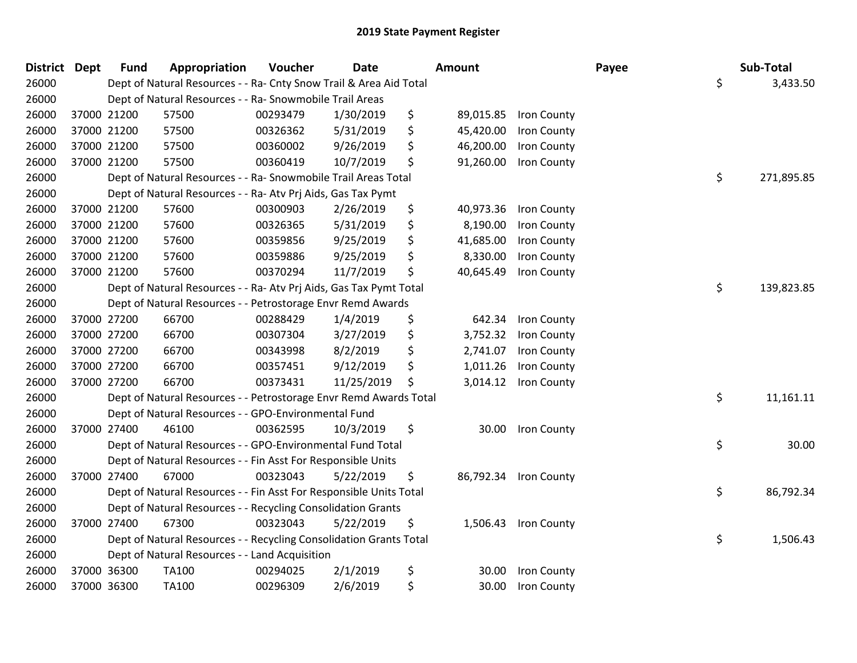| District Dept |             | <b>Fund</b> | Appropriation                                                      | Voucher  | <b>Date</b> | Amount          |                    | Payee | Sub-Total        |
|---------------|-------------|-------------|--------------------------------------------------------------------|----------|-------------|-----------------|--------------------|-------|------------------|
| 26000         |             |             | Dept of Natural Resources - - Ra- Cnty Snow Trail & Area Aid Total |          |             |                 |                    |       | \$<br>3,433.50   |
| 26000         |             |             | Dept of Natural Resources - - Ra- Snowmobile Trail Areas           |          |             |                 |                    |       |                  |
| 26000         | 37000 21200 |             | 57500                                                              | 00293479 | 1/30/2019   | \$<br>89,015.85 | Iron County        |       |                  |
| 26000         | 37000 21200 |             | 57500                                                              | 00326362 | 5/31/2019   | \$<br>45,420.00 | Iron County        |       |                  |
| 26000         | 37000 21200 |             | 57500                                                              | 00360002 | 9/26/2019   | \$<br>46,200.00 | Iron County        |       |                  |
| 26000         | 37000 21200 |             | 57500                                                              | 00360419 | 10/7/2019   | \$<br>91,260.00 | Iron County        |       |                  |
| 26000         |             |             | Dept of Natural Resources - - Ra- Snowmobile Trail Areas Total     |          |             |                 |                    |       | \$<br>271,895.85 |
| 26000         |             |             | Dept of Natural Resources - - Ra- Atv Prj Aids, Gas Tax Pymt       |          |             |                 |                    |       |                  |
| 26000         | 37000 21200 |             | 57600                                                              | 00300903 | 2/26/2019   | \$<br>40,973.36 | Iron County        |       |                  |
| 26000         | 37000 21200 |             | 57600                                                              | 00326365 | 5/31/2019   | \$<br>8,190.00  | Iron County        |       |                  |
| 26000         | 37000 21200 |             | 57600                                                              | 00359856 | 9/25/2019   | \$<br>41,685.00 | Iron County        |       |                  |
| 26000         | 37000 21200 |             | 57600                                                              | 00359886 | 9/25/2019   | \$<br>8,330.00  | Iron County        |       |                  |
| 26000         | 37000 21200 |             | 57600                                                              | 00370294 | 11/7/2019   | \$<br>40,645.49 | Iron County        |       |                  |
| 26000         |             |             | Dept of Natural Resources - - Ra- Atv Prj Aids, Gas Tax Pymt Total |          |             |                 |                    |       | \$<br>139,823.85 |
| 26000         |             |             | Dept of Natural Resources - - Petrostorage Envr Remd Awards        |          |             |                 |                    |       |                  |
| 26000         | 37000 27200 |             | 66700                                                              | 00288429 | 1/4/2019    | \$<br>642.34    | Iron County        |       |                  |
| 26000         | 37000 27200 |             | 66700                                                              | 00307304 | 3/27/2019   | \$<br>3,752.32  | Iron County        |       |                  |
| 26000         | 37000 27200 |             | 66700                                                              | 00343998 | 8/2/2019    | \$<br>2,741.07  | Iron County        |       |                  |
| 26000         | 37000 27200 |             | 66700                                                              | 00357451 | 9/12/2019   | \$<br>1,011.26  | Iron County        |       |                  |
| 26000         | 37000 27200 |             | 66700                                                              | 00373431 | 11/25/2019  | \$<br>3,014.12  | Iron County        |       |                  |
| 26000         |             |             | Dept of Natural Resources - - Petrostorage Envr Remd Awards Total  |          |             |                 |                    |       | \$<br>11,161.11  |
| 26000         |             |             | Dept of Natural Resources - - GPO-Environmental Fund               |          |             |                 |                    |       |                  |
| 26000         | 37000 27400 |             | 46100                                                              | 00362595 | 10/3/2019   | \$              | 30.00 Iron County  |       |                  |
| 26000         |             |             | Dept of Natural Resources - - GPO-Environmental Fund Total         |          |             |                 |                    |       | \$<br>30.00      |
| 26000         |             |             | Dept of Natural Resources - - Fin Asst For Responsible Units       |          |             |                 |                    |       |                  |
| 26000         | 37000 27400 |             | 67000                                                              | 00323043 | 5/22/2019   | \$<br>86,792.34 | <b>Iron County</b> |       |                  |
| 26000         |             |             | Dept of Natural Resources - - Fin Asst For Responsible Units Total |          |             |                 |                    |       | \$<br>86,792.34  |
| 26000         |             |             | Dept of Natural Resources - - Recycling Consolidation Grants       |          |             |                 |                    |       |                  |
| 26000         | 37000 27400 |             | 67300                                                              | 00323043 | 5/22/2019   | \$<br>1,506.43  | Iron County        |       |                  |
| 26000         |             |             | Dept of Natural Resources - - Recycling Consolidation Grants Total |          |             |                 |                    |       | \$<br>1,506.43   |
| 26000         |             |             | Dept of Natural Resources - - Land Acquisition                     |          |             |                 |                    |       |                  |
| 26000         | 37000 36300 |             | <b>TA100</b>                                                       | 00294025 | 2/1/2019    | \$<br>30.00     | <b>Iron County</b> |       |                  |
| 26000         | 37000 36300 |             | <b>TA100</b>                                                       | 00296309 | 2/6/2019    | \$<br>30.00     | Iron County        |       |                  |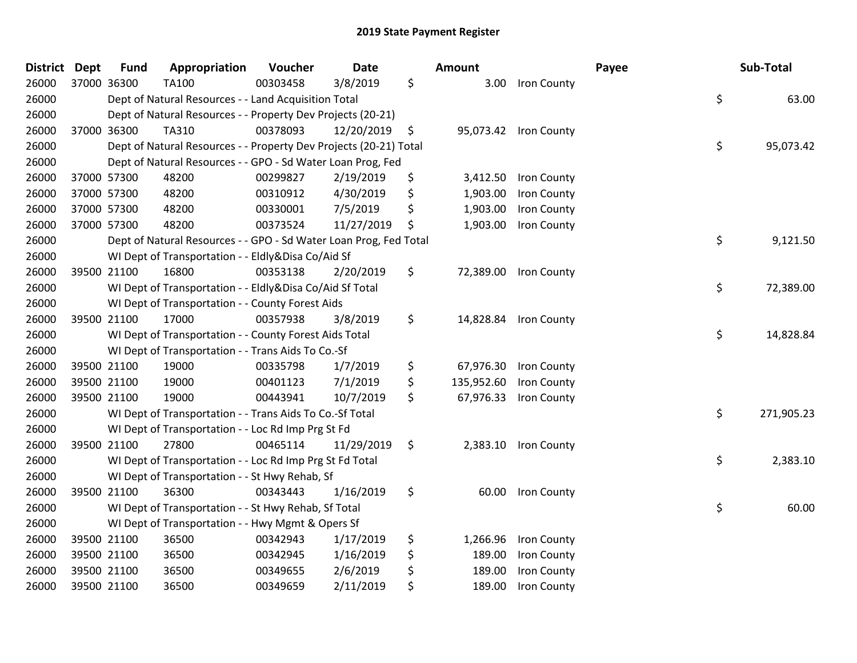| <b>District</b> | <b>Dept</b> | <b>Fund</b> | Appropriation                                                     | Voucher  | <b>Date</b> | Amount           |                       | Payee | Sub-Total        |
|-----------------|-------------|-------------|-------------------------------------------------------------------|----------|-------------|------------------|-----------------------|-------|------------------|
| 26000           | 37000 36300 |             | <b>TA100</b>                                                      | 00303458 | 3/8/2019    | \$<br>3.00       | Iron County           |       |                  |
| 26000           |             |             | Dept of Natural Resources - - Land Acquisition Total              |          |             |                  |                       |       | \$<br>63.00      |
| 26000           |             |             | Dept of Natural Resources - - Property Dev Projects (20-21)       |          |             |                  |                       |       |                  |
| 26000           | 37000 36300 |             | TA310                                                             | 00378093 | 12/20/2019  | \$<br>95,073.42  | Iron County           |       |                  |
| 26000           |             |             | Dept of Natural Resources - - Property Dev Projects (20-21) Total |          |             |                  |                       |       | \$<br>95,073.42  |
| 26000           |             |             | Dept of Natural Resources - - GPO - Sd Water Loan Prog, Fed       |          |             |                  |                       |       |                  |
| 26000           | 37000 57300 |             | 48200                                                             | 00299827 | 2/19/2019   | \$<br>3,412.50   | Iron County           |       |                  |
| 26000           | 37000 57300 |             | 48200                                                             | 00310912 | 4/30/2019   | \$<br>1,903.00   | Iron County           |       |                  |
| 26000           | 37000 57300 |             | 48200                                                             | 00330001 | 7/5/2019    | \$<br>1,903.00   | Iron County           |       |                  |
| 26000           | 37000 57300 |             | 48200                                                             | 00373524 | 11/27/2019  | \$<br>1,903.00   | Iron County           |       |                  |
| 26000           |             |             | Dept of Natural Resources - - GPO - Sd Water Loan Prog, Fed Total |          |             |                  |                       |       | \$<br>9,121.50   |
| 26000           |             |             | WI Dept of Transportation - - Eldly&Disa Co/Aid Sf                |          |             |                  |                       |       |                  |
| 26000           | 39500 21100 |             | 16800                                                             | 00353138 | 2/20/2019   | \$               | 72,389.00 Iron County |       |                  |
| 26000           |             |             | WI Dept of Transportation - - Eldly&Disa Co/Aid Sf Total          |          |             |                  |                       |       | \$<br>72,389.00  |
| 26000           |             |             | WI Dept of Transportation - - County Forest Aids                  |          |             |                  |                       |       |                  |
| 26000           | 39500 21100 |             | 17000                                                             | 00357938 | 3/8/2019    | \$<br>14,828.84  | Iron County           |       |                  |
| 26000           |             |             | WI Dept of Transportation - - County Forest Aids Total            |          |             |                  |                       |       | \$<br>14,828.84  |
| 26000           |             |             | WI Dept of Transportation - - Trans Aids To Co.-Sf                |          |             |                  |                       |       |                  |
| 26000           | 39500 21100 |             | 19000                                                             | 00335798 | 1/7/2019    | \$<br>67,976.30  | Iron County           |       |                  |
| 26000           | 39500 21100 |             | 19000                                                             | 00401123 | 7/1/2019    | \$<br>135,952.60 | Iron County           |       |                  |
| 26000           | 39500 21100 |             | 19000                                                             | 00443941 | 10/7/2019   | \$<br>67,976.33  | Iron County           |       |                  |
| 26000           |             |             | WI Dept of Transportation - - Trans Aids To Co.-Sf Total          |          |             |                  |                       |       | \$<br>271,905.23 |
| 26000           |             |             | WI Dept of Transportation - - Loc Rd Imp Prg St Fd                |          |             |                  |                       |       |                  |
| 26000           | 39500 21100 |             | 27800                                                             | 00465114 | 11/29/2019  | \$               | 2,383.10 Iron County  |       |                  |
| 26000           |             |             | WI Dept of Transportation - - Loc Rd Imp Prg St Fd Total          |          |             |                  |                       |       | \$<br>2,383.10   |
| 26000           |             |             | WI Dept of Transportation - - St Hwy Rehab, Sf                    |          |             |                  |                       |       |                  |
| 26000           | 39500 21100 |             | 36300                                                             | 00343443 | 1/16/2019   | \$<br>60.00      | Iron County           |       |                  |
| 26000           |             |             | WI Dept of Transportation - - St Hwy Rehab, Sf Total              |          |             |                  |                       |       | \$<br>60.00      |
| 26000           |             |             | WI Dept of Transportation - - Hwy Mgmt & Opers Sf                 |          |             |                  |                       |       |                  |
| 26000           | 39500 21100 |             | 36500                                                             | 00342943 | 1/17/2019   | \$<br>1,266.96   | Iron County           |       |                  |
| 26000           | 39500 21100 |             | 36500                                                             | 00342945 | 1/16/2019   | \$<br>189.00     | Iron County           |       |                  |
| 26000           | 39500 21100 |             | 36500                                                             | 00349655 | 2/6/2019    | \$<br>189.00     | <b>Iron County</b>    |       |                  |
| 26000           | 39500 21100 |             | 36500                                                             | 00349659 | 2/11/2019   | \$<br>189.00     | Iron County           |       |                  |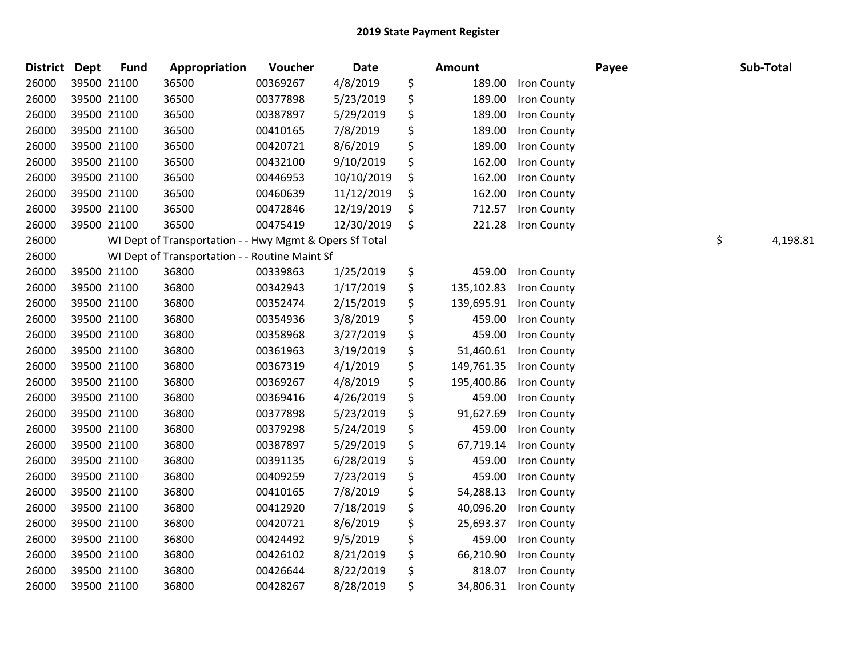| District Dept |             | <b>Fund</b> | Appropriation                                           | Voucher  | Date       | Amount           |             | Payee | Sub-Total      |
|---------------|-------------|-------------|---------------------------------------------------------|----------|------------|------------------|-------------|-------|----------------|
| 26000         | 39500 21100 |             | 36500                                                   | 00369267 | 4/8/2019   | \$<br>189.00     | Iron County |       |                |
| 26000         | 39500 21100 |             | 36500                                                   | 00377898 | 5/23/2019  | \$<br>189.00     | Iron County |       |                |
| 26000         | 39500 21100 |             | 36500                                                   | 00387897 | 5/29/2019  | \$<br>189.00     | Iron County |       |                |
| 26000         | 39500 21100 |             | 36500                                                   | 00410165 | 7/8/2019   | \$<br>189.00     | Iron County |       |                |
| 26000         | 39500 21100 |             | 36500                                                   | 00420721 | 8/6/2019   | \$<br>189.00     | Iron County |       |                |
| 26000         |             | 39500 21100 | 36500                                                   | 00432100 | 9/10/2019  | \$<br>162.00     | Iron County |       |                |
| 26000         |             | 39500 21100 | 36500                                                   | 00446953 | 10/10/2019 | \$<br>162.00     | Iron County |       |                |
| 26000         | 39500 21100 |             | 36500                                                   | 00460639 | 11/12/2019 | \$<br>162.00     | Iron County |       |                |
| 26000         | 39500 21100 |             | 36500                                                   | 00472846 | 12/19/2019 | \$<br>712.57     | Iron County |       |                |
| 26000         |             | 39500 21100 | 36500                                                   | 00475419 | 12/30/2019 | \$<br>221.28     | Iron County |       |                |
| 26000         |             |             | WI Dept of Transportation - - Hwy Mgmt & Opers Sf Total |          |            |                  |             |       | \$<br>4,198.81 |
| 26000         |             |             | WI Dept of Transportation - - Routine Maint Sf          |          |            |                  |             |       |                |
| 26000         |             | 39500 21100 | 36800                                                   | 00339863 | 1/25/2019  | \$<br>459.00     | Iron County |       |                |
| 26000         | 39500 21100 |             | 36800                                                   | 00342943 | 1/17/2019  | \$<br>135,102.83 | Iron County |       |                |
| 26000         | 39500 21100 |             | 36800                                                   | 00352474 | 2/15/2019  | \$<br>139,695.91 | Iron County |       |                |
| 26000         |             | 39500 21100 | 36800                                                   | 00354936 | 3/8/2019   | \$<br>459.00     | Iron County |       |                |
| 26000         |             | 39500 21100 | 36800                                                   | 00358968 | 3/27/2019  | \$<br>459.00     | Iron County |       |                |
| 26000         | 39500 21100 |             | 36800                                                   | 00361963 | 3/19/2019  | \$<br>51,460.61  | Iron County |       |                |
| 26000         | 39500 21100 |             | 36800                                                   | 00367319 | 4/1/2019   | \$<br>149,761.35 | Iron County |       |                |
| 26000         | 39500 21100 |             | 36800                                                   | 00369267 | 4/8/2019   | \$<br>195,400.86 | Iron County |       |                |
| 26000         |             | 39500 21100 | 36800                                                   | 00369416 | 4/26/2019  | \$<br>459.00     | Iron County |       |                |
| 26000         |             | 39500 21100 | 36800                                                   | 00377898 | 5/23/2019  | \$<br>91,627.69  | Iron County |       |                |
| 26000         | 39500 21100 |             | 36800                                                   | 00379298 | 5/24/2019  | \$<br>459.00     | Iron County |       |                |
| 26000         | 39500 21100 |             | 36800                                                   | 00387897 | 5/29/2019  | \$<br>67,719.14  | Iron County |       |                |
| 26000         |             | 39500 21100 | 36800                                                   | 00391135 | 6/28/2019  | \$<br>459.00     | Iron County |       |                |
| 26000         |             | 39500 21100 | 36800                                                   | 00409259 | 7/23/2019  | \$<br>459.00     | Iron County |       |                |
| 26000         |             | 39500 21100 | 36800                                                   | 00410165 | 7/8/2019   | \$<br>54,288.13  | Iron County |       |                |
| 26000         | 39500 21100 |             | 36800                                                   | 00412920 | 7/18/2019  | \$<br>40,096.20  | Iron County |       |                |
| 26000         | 39500 21100 |             | 36800                                                   | 00420721 | 8/6/2019   | \$<br>25,693.37  | Iron County |       |                |
| 26000         |             | 39500 21100 | 36800                                                   | 00424492 | 9/5/2019   | \$<br>459.00     | Iron County |       |                |
| 26000         |             | 39500 21100 | 36800                                                   | 00426102 | 8/21/2019  | \$<br>66,210.90  | Iron County |       |                |
| 26000         |             | 39500 21100 | 36800                                                   | 00426644 | 8/22/2019  | \$<br>818.07     | Iron County |       |                |
| 26000         |             | 39500 21100 | 36800                                                   | 00428267 | 8/28/2019  | \$<br>34,806.31  | Iron County |       |                |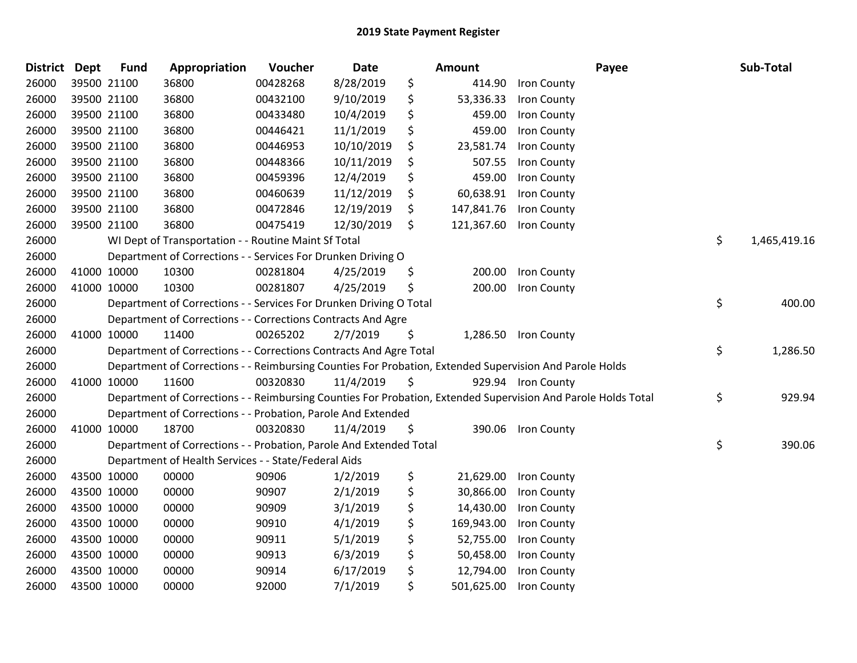| <b>District</b> | <b>Dept</b> | <b>Fund</b> | Appropriation                                                      | Voucher  | Date       | Amount           | Payee                                                                                                         | Sub-Total          |
|-----------------|-------------|-------------|--------------------------------------------------------------------|----------|------------|------------------|---------------------------------------------------------------------------------------------------------------|--------------------|
| 26000           |             | 39500 21100 | 36800                                                              | 00428268 | 8/28/2019  | \$<br>414.90     | Iron County                                                                                                   |                    |
| 26000           |             | 39500 21100 | 36800                                                              | 00432100 | 9/10/2019  | \$<br>53,336.33  | Iron County                                                                                                   |                    |
| 26000           |             | 39500 21100 | 36800                                                              | 00433480 | 10/4/2019  | \$<br>459.00     | Iron County                                                                                                   |                    |
| 26000           |             | 39500 21100 | 36800                                                              | 00446421 | 11/1/2019  | \$<br>459.00     | Iron County                                                                                                   |                    |
| 26000           |             | 39500 21100 | 36800                                                              | 00446953 | 10/10/2019 | \$<br>23,581.74  | Iron County                                                                                                   |                    |
| 26000           |             | 39500 21100 | 36800                                                              | 00448366 | 10/11/2019 | \$<br>507.55     | Iron County                                                                                                   |                    |
| 26000           |             | 39500 21100 | 36800                                                              | 00459396 | 12/4/2019  | \$<br>459.00     | Iron County                                                                                                   |                    |
| 26000           |             | 39500 21100 | 36800                                                              | 00460639 | 11/12/2019 | \$<br>60,638.91  | Iron County                                                                                                   |                    |
| 26000           |             | 39500 21100 | 36800                                                              | 00472846 | 12/19/2019 | \$<br>147,841.76 | Iron County                                                                                                   |                    |
| 26000           |             | 39500 21100 | 36800                                                              | 00475419 | 12/30/2019 | \$<br>121,367.60 | Iron County                                                                                                   |                    |
| 26000           |             |             | WI Dept of Transportation - - Routine Maint Sf Total               |          |            |                  |                                                                                                               | \$<br>1,465,419.16 |
| 26000           |             |             | Department of Corrections - - Services For Drunken Driving O       |          |            |                  |                                                                                                               |                    |
| 26000           |             | 41000 10000 | 10300                                                              | 00281804 | 4/25/2019  | \$<br>200.00     | Iron County                                                                                                   |                    |
| 26000           |             | 41000 10000 | 10300                                                              | 00281807 | 4/25/2019  | \$<br>200.00     | Iron County                                                                                                   |                    |
| 26000           |             |             | Department of Corrections - - Services For Drunken Driving O Total |          |            |                  |                                                                                                               | \$<br>400.00       |
| 26000           |             |             | Department of Corrections - - Corrections Contracts And Agre       |          |            |                  |                                                                                                               |                    |
| 26000           |             | 41000 10000 | 11400                                                              | 00265202 | 2/7/2019   | \$<br>1,286.50   | Iron County                                                                                                   |                    |
| 26000           |             |             | Department of Corrections - - Corrections Contracts And Agre Total |          |            |                  |                                                                                                               | \$<br>1,286.50     |
| 26000           |             |             |                                                                    |          |            |                  | Department of Corrections - - Reimbursing Counties For Probation, Extended Supervision And Parole Holds       |                    |
| 26000           |             | 41000 10000 | 11600                                                              | 00320830 | 11/4/2019  | \$               | 929.94 Iron County                                                                                            |                    |
| 26000           |             |             |                                                                    |          |            |                  | Department of Corrections - - Reimbursing Counties For Probation, Extended Supervision And Parole Holds Total | \$<br>929.94       |
| 26000           |             |             | Department of Corrections - - Probation, Parole And Extended       |          |            |                  |                                                                                                               |                    |
| 26000           |             | 41000 10000 | 18700                                                              | 00320830 | 11/4/2019  | \$<br>390.06     | <b>Iron County</b>                                                                                            |                    |
| 26000           |             |             | Department of Corrections - - Probation, Parole And Extended Total |          |            |                  |                                                                                                               | \$<br>390.06       |
| 26000           |             |             | Department of Health Services - - State/Federal Aids               |          |            |                  |                                                                                                               |                    |
| 26000           |             | 43500 10000 | 00000                                                              | 90906    | 1/2/2019   | \$<br>21,629.00  | Iron County                                                                                                   |                    |
| 26000           |             | 43500 10000 | 00000                                                              | 90907    | 2/1/2019   | \$<br>30,866.00  | Iron County                                                                                                   |                    |
| 26000           |             | 43500 10000 | 00000                                                              | 90909    | 3/1/2019   | \$<br>14,430.00  | Iron County                                                                                                   |                    |
| 26000           |             | 43500 10000 | 00000                                                              | 90910    | 4/1/2019   | \$<br>169,943.00 | Iron County                                                                                                   |                    |
| 26000           |             | 43500 10000 | 00000                                                              | 90911    | 5/1/2019   | \$<br>52,755.00  | Iron County                                                                                                   |                    |
| 26000           |             | 43500 10000 | 00000                                                              | 90913    | 6/3/2019   | \$<br>50,458.00  | Iron County                                                                                                   |                    |
| 26000           |             | 43500 10000 | 00000                                                              | 90914    | 6/17/2019  | \$<br>12,794.00  | Iron County                                                                                                   |                    |
| 26000           |             | 43500 10000 | 00000                                                              | 92000    | 7/1/2019   | \$<br>501,625.00 | Iron County                                                                                                   |                    |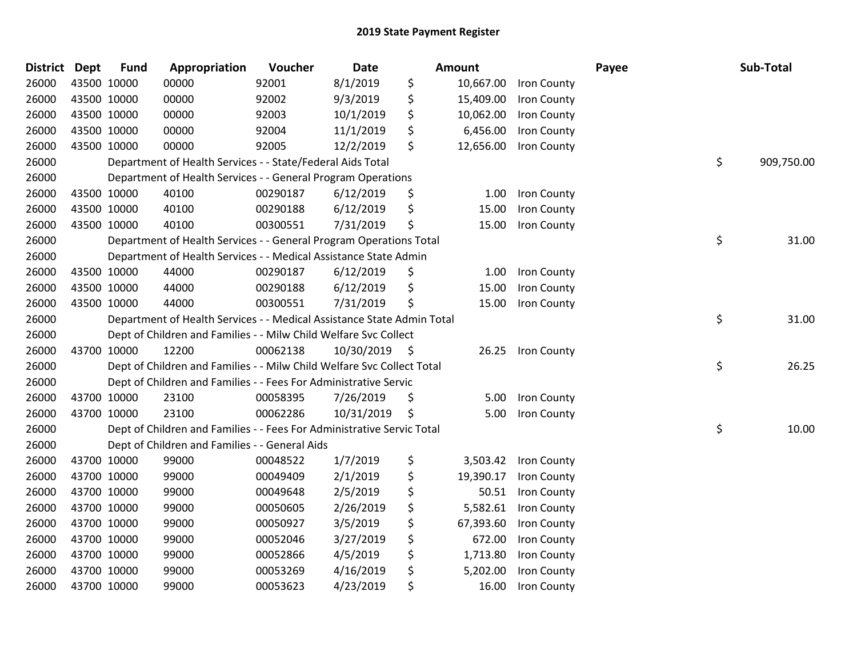| <b>District</b> | Dept        | <b>Fund</b> | Appropriation                                                          | Voucher  | <b>Date</b>   | Amount          |             | Payee | Sub-Total        |
|-----------------|-------------|-------------|------------------------------------------------------------------------|----------|---------------|-----------------|-------------|-------|------------------|
| 26000           | 43500 10000 |             | 00000                                                                  | 92001    | 8/1/2019      | \$<br>10,667.00 | Iron County |       |                  |
| 26000           |             | 43500 10000 | 00000                                                                  | 92002    | 9/3/2019      | \$<br>15,409.00 | Iron County |       |                  |
| 26000           | 43500 10000 |             | 00000                                                                  | 92003    | 10/1/2019     | \$<br>10,062.00 | Iron County |       |                  |
| 26000           | 43500 10000 |             | 00000                                                                  | 92004    | 11/1/2019     | \$<br>6,456.00  | Iron County |       |                  |
| 26000           | 43500 10000 |             | 00000                                                                  | 92005    | 12/2/2019     | \$<br>12,656.00 | Iron County |       |                  |
| 26000           |             |             | Department of Health Services - - State/Federal Aids Total             |          |               |                 |             |       | \$<br>909,750.00 |
| 26000           |             |             | Department of Health Services - - General Program Operations           |          |               |                 |             |       |                  |
| 26000           |             | 43500 10000 | 40100                                                                  | 00290187 | 6/12/2019     | \$<br>1.00      | Iron County |       |                  |
| 26000           | 43500 10000 |             | 40100                                                                  | 00290188 | 6/12/2019     | \$<br>15.00     | Iron County |       |                  |
| 26000           | 43500 10000 |             | 40100                                                                  | 00300551 | 7/31/2019     | \$<br>15.00     | Iron County |       |                  |
| 26000           |             |             | Department of Health Services - - General Program Operations Total     |          |               |                 |             |       | \$<br>31.00      |
| 26000           |             |             | Department of Health Services - - Medical Assistance State Admin       |          |               |                 |             |       |                  |
| 26000           |             | 43500 10000 | 44000                                                                  | 00290187 | 6/12/2019     | \$<br>1.00      | Iron County |       |                  |
| 26000           |             | 43500 10000 | 44000                                                                  | 00290188 | 6/12/2019     | \$<br>15.00     | Iron County |       |                  |
| 26000           | 43500 10000 |             | 44000                                                                  | 00300551 | 7/31/2019     | \$<br>15.00     | Iron County |       |                  |
| 26000           |             |             | Department of Health Services - - Medical Assistance State Admin Total |          |               |                 |             |       | \$<br>31.00      |
| 26000           |             |             | Dept of Children and Families - - Milw Child Welfare Svc Collect       |          |               |                 |             |       |                  |
| 26000           |             | 43700 10000 | 12200                                                                  | 00062138 | 10/30/2019 \$ | 26.25           | Iron County |       |                  |
| 26000           |             |             | Dept of Children and Families - - Milw Child Welfare Svc Collect Total |          |               |                 |             |       | \$<br>26.25      |
| 26000           |             |             | Dept of Children and Families - - Fees For Administrative Servic       |          |               |                 |             |       |                  |
| 26000           |             | 43700 10000 | 23100                                                                  | 00058395 | 7/26/2019     | \$<br>5.00      | Iron County |       |                  |
| 26000           | 43700 10000 |             | 23100                                                                  | 00062286 | 10/31/2019    | \$<br>5.00      | Iron County |       |                  |
| 26000           |             |             | Dept of Children and Families - - Fees For Administrative Servic Total |          |               |                 |             |       | \$<br>10.00      |
| 26000           |             |             | Dept of Children and Families - - General Aids                         |          |               |                 |             |       |                  |
| 26000           | 43700 10000 |             | 99000                                                                  | 00048522 | 1/7/2019      | \$<br>3,503.42  | Iron County |       |                  |
| 26000           |             | 43700 10000 | 99000                                                                  | 00049409 | 2/1/2019      | \$<br>19,390.17 | Iron County |       |                  |
| 26000           | 43700 10000 |             | 99000                                                                  | 00049648 | 2/5/2019      | \$<br>50.51     | Iron County |       |                  |
| 26000           | 43700 10000 |             | 99000                                                                  | 00050605 | 2/26/2019     | \$<br>5,582.61  | Iron County |       |                  |
| 26000           | 43700 10000 |             | 99000                                                                  | 00050927 | 3/5/2019      | \$<br>67,393.60 | Iron County |       |                  |
| 26000           | 43700 10000 |             | 99000                                                                  | 00052046 | 3/27/2019     | \$<br>672.00    | Iron County |       |                  |
| 26000           | 43700 10000 |             | 99000                                                                  | 00052866 | 4/5/2019      | \$<br>1,713.80  | Iron County |       |                  |
| 26000           | 43700 10000 |             | 99000                                                                  | 00053269 | 4/16/2019     | \$<br>5,202.00  | Iron County |       |                  |
| 26000           | 43700 10000 |             | 99000                                                                  | 00053623 | 4/23/2019     | \$<br>16.00     | Iron County |       |                  |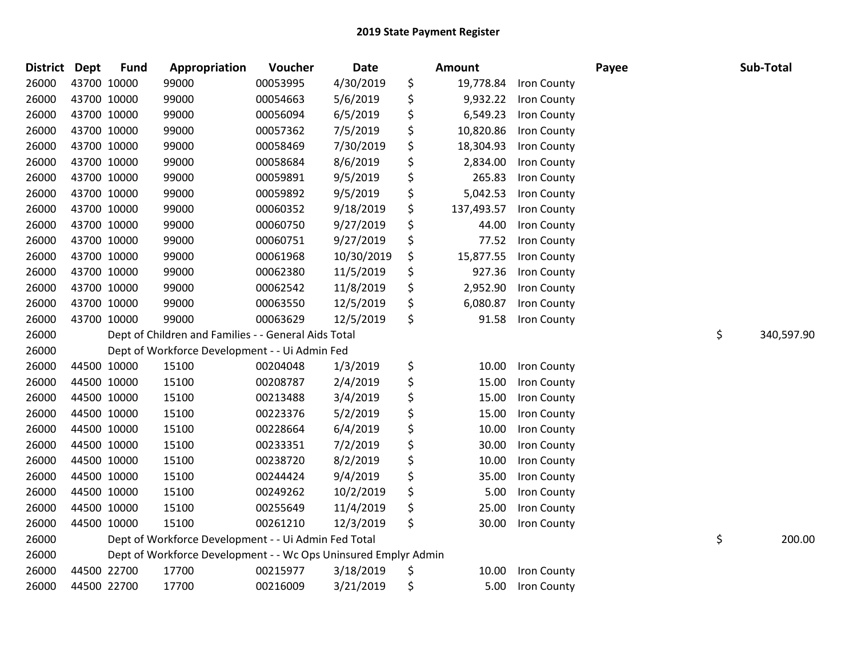| District Dept |             | <b>Fund</b> | Appropriation                                                   | Voucher  | Date       | Amount           |             | Payee | Sub-Total        |
|---------------|-------------|-------------|-----------------------------------------------------------------|----------|------------|------------------|-------------|-------|------------------|
| 26000         |             | 43700 10000 | 99000                                                           | 00053995 | 4/30/2019  | \$<br>19,778.84  | Iron County |       |                  |
| 26000         | 43700 10000 |             | 99000                                                           | 00054663 | 5/6/2019   | \$<br>9,932.22   | Iron County |       |                  |
| 26000         |             | 43700 10000 | 99000                                                           | 00056094 | 6/5/2019   | \$<br>6,549.23   | Iron County |       |                  |
| 26000         |             | 43700 10000 | 99000                                                           | 00057362 | 7/5/2019   | \$<br>10,820.86  | Iron County |       |                  |
| 26000         |             | 43700 10000 | 99000                                                           | 00058469 | 7/30/2019  | \$<br>18,304.93  | Iron County |       |                  |
| 26000         |             | 43700 10000 | 99000                                                           | 00058684 | 8/6/2019   | \$<br>2,834.00   | Iron County |       |                  |
| 26000         |             | 43700 10000 | 99000                                                           | 00059891 | 9/5/2019   | \$<br>265.83     | Iron County |       |                  |
| 26000         |             | 43700 10000 | 99000                                                           | 00059892 | 9/5/2019   | \$<br>5,042.53   | Iron County |       |                  |
| 26000         |             | 43700 10000 | 99000                                                           | 00060352 | 9/18/2019  | \$<br>137,493.57 | Iron County |       |                  |
| 26000         |             | 43700 10000 | 99000                                                           | 00060750 | 9/27/2019  | \$<br>44.00      | Iron County |       |                  |
| 26000         |             | 43700 10000 | 99000                                                           | 00060751 | 9/27/2019  | \$<br>77.52      | Iron County |       |                  |
| 26000         |             | 43700 10000 | 99000                                                           | 00061968 | 10/30/2019 | \$<br>15,877.55  | Iron County |       |                  |
| 26000         |             | 43700 10000 | 99000                                                           | 00062380 | 11/5/2019  | \$<br>927.36     | Iron County |       |                  |
| 26000         |             | 43700 10000 | 99000                                                           | 00062542 | 11/8/2019  | \$<br>2,952.90   | Iron County |       |                  |
| 26000         |             | 43700 10000 | 99000                                                           | 00063550 | 12/5/2019  | \$<br>6,080.87   | Iron County |       |                  |
| 26000         |             | 43700 10000 | 99000                                                           | 00063629 | 12/5/2019  | \$<br>91.58      | Iron County |       |                  |
| 26000         |             |             | Dept of Children and Families - - General Aids Total            |          |            |                  |             |       | \$<br>340,597.90 |
| 26000         |             |             | Dept of Workforce Development - - Ui Admin Fed                  |          |            |                  |             |       |                  |
| 26000         |             | 44500 10000 | 15100                                                           | 00204048 | 1/3/2019   | \$<br>10.00      | Iron County |       |                  |
| 26000         |             | 44500 10000 | 15100                                                           | 00208787 | 2/4/2019   | \$<br>15.00      | Iron County |       |                  |
| 26000         |             | 44500 10000 | 15100                                                           | 00213488 | 3/4/2019   | \$<br>15.00      | Iron County |       |                  |
| 26000         |             | 44500 10000 | 15100                                                           | 00223376 | 5/2/2019   | \$<br>15.00      | Iron County |       |                  |
| 26000         |             | 44500 10000 | 15100                                                           | 00228664 | 6/4/2019   | \$<br>10.00      | Iron County |       |                  |
| 26000         |             | 44500 10000 | 15100                                                           | 00233351 | 7/2/2019   | \$<br>30.00      | Iron County |       |                  |
| 26000         |             | 44500 10000 | 15100                                                           | 00238720 | 8/2/2019   | \$<br>10.00      | Iron County |       |                  |
| 26000         |             | 44500 10000 | 15100                                                           | 00244424 | 9/4/2019   | \$<br>35.00      | Iron County |       |                  |
| 26000         |             | 44500 10000 | 15100                                                           | 00249262 | 10/2/2019  | \$<br>5.00       | Iron County |       |                  |
| 26000         |             | 44500 10000 | 15100                                                           | 00255649 | 11/4/2019  | \$<br>25.00      | Iron County |       |                  |
| 26000         |             | 44500 10000 | 15100                                                           | 00261210 | 12/3/2019  | \$<br>30.00      | Iron County |       |                  |
| 26000         |             |             | Dept of Workforce Development - - Ui Admin Fed Total            |          |            |                  |             |       | \$<br>200.00     |
| 26000         |             |             | Dept of Workforce Development - - Wc Ops Uninsured Emplyr Admin |          |            |                  |             |       |                  |
| 26000         |             | 44500 22700 | 17700                                                           | 00215977 | 3/18/2019  | \$<br>10.00      | Iron County |       |                  |
| 26000         |             | 44500 22700 | 17700                                                           | 00216009 | 3/21/2019  | \$<br>5.00       | Iron County |       |                  |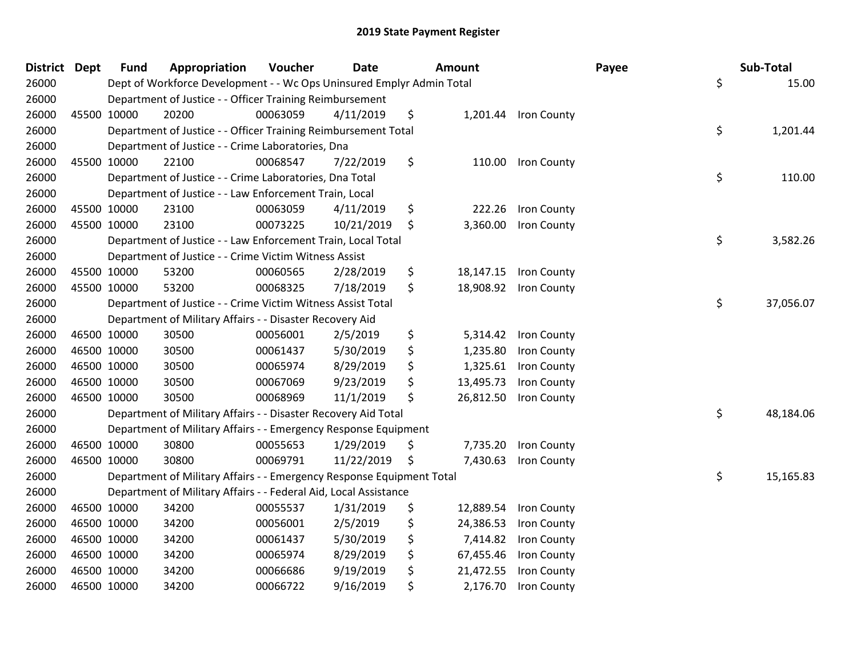| <b>District Dept</b> |             | <b>Fund</b> | Appropriation                                                         | Voucher  | <b>Date</b> | Amount          |                       | Payee | Sub-Total       |
|----------------------|-------------|-------------|-----------------------------------------------------------------------|----------|-------------|-----------------|-----------------------|-------|-----------------|
| 26000                |             |             | Dept of Workforce Development - - Wc Ops Uninsured Emplyr Admin Total |          |             |                 |                       |       | \$<br>15.00     |
| 26000                |             |             | Department of Justice - - Officer Training Reimbursement              |          |             |                 |                       |       |                 |
| 26000                |             | 45500 10000 | 20200                                                                 | 00063059 | 4/11/2019   | \$              | 1,201.44 Iron County  |       |                 |
| 26000                |             |             | Department of Justice - - Officer Training Reimbursement Total        |          |             |                 |                       |       | \$<br>1,201.44  |
| 26000                |             |             | Department of Justice - - Crime Laboratories, Dna                     |          |             |                 |                       |       |                 |
| 26000                |             | 45500 10000 | 22100                                                                 | 00068547 | 7/22/2019   | \$<br>110.00    | Iron County           |       |                 |
| 26000                |             |             | Department of Justice - - Crime Laboratories, Dna Total               |          |             |                 |                       |       | \$<br>110.00    |
| 26000                |             |             | Department of Justice - - Law Enforcement Train, Local                |          |             |                 |                       |       |                 |
| 26000                |             | 45500 10000 | 23100                                                                 | 00063059 | 4/11/2019   | \$<br>222.26    | Iron County           |       |                 |
| 26000                |             | 45500 10000 | 23100                                                                 | 00073225 | 10/21/2019  | \$<br>3,360.00  | <b>Iron County</b>    |       |                 |
| 26000                |             |             | Department of Justice - - Law Enforcement Train, Local Total          |          |             |                 |                       |       | \$<br>3,582.26  |
| 26000                |             |             | Department of Justice - - Crime Victim Witness Assist                 |          |             |                 |                       |       |                 |
| 26000                |             | 45500 10000 | 53200                                                                 | 00060565 | 2/28/2019   | \$              | 18,147.15 Iron County |       |                 |
| 26000                |             | 45500 10000 | 53200                                                                 | 00068325 | 7/18/2019   | \$              | 18,908.92 Iron County |       |                 |
| 26000                |             |             | Department of Justice - - Crime Victim Witness Assist Total           |          |             |                 |                       |       | \$<br>37,056.07 |
| 26000                |             |             | Department of Military Affairs - - Disaster Recovery Aid              |          |             |                 |                       |       |                 |
| 26000                |             | 46500 10000 | 30500                                                                 | 00056001 | 2/5/2019    | \$<br>5,314.42  | Iron County           |       |                 |
| 26000                | 46500 10000 |             | 30500                                                                 | 00061437 | 5/30/2019   | \$<br>1,235.80  | Iron County           |       |                 |
| 26000                | 46500 10000 |             | 30500                                                                 | 00065974 | 8/29/2019   | \$              | 1,325.61 Iron County  |       |                 |
| 26000                |             | 46500 10000 | 30500                                                                 | 00067069 | 9/23/2019   | \$<br>13,495.73 | Iron County           |       |                 |
| 26000                |             | 46500 10000 | 30500                                                                 | 00068969 | 11/1/2019   | \$<br>26,812.50 | Iron County           |       |                 |
| 26000                |             |             | Department of Military Affairs - - Disaster Recovery Aid Total        |          |             |                 |                       |       | \$<br>48,184.06 |
| 26000                |             |             | Department of Military Affairs - - Emergency Response Equipment       |          |             |                 |                       |       |                 |
| 26000                |             | 46500 10000 | 30800                                                                 | 00055653 | 1/29/2019   | \$<br>7,735.20  | <b>Iron County</b>    |       |                 |
| 26000                |             | 46500 10000 | 30800                                                                 | 00069791 | 11/22/2019  | \$<br>7,430.63  | Iron County           |       |                 |
| 26000                |             |             | Department of Military Affairs - - Emergency Response Equipment Total |          |             |                 |                       |       | \$<br>15,165.83 |
| 26000                |             |             | Department of Military Affairs - - Federal Aid, Local Assistance      |          |             |                 |                       |       |                 |
| 26000                |             | 46500 10000 | 34200                                                                 | 00055537 | 1/31/2019   | \$<br>12,889.54 | Iron County           |       |                 |
| 26000                | 46500 10000 |             | 34200                                                                 | 00056001 | 2/5/2019    | \$<br>24,386.53 | Iron County           |       |                 |
| 26000                |             | 46500 10000 | 34200                                                                 | 00061437 | 5/30/2019   | \$<br>7,414.82  | Iron County           |       |                 |
| 26000                | 46500 10000 |             | 34200                                                                 | 00065974 | 8/29/2019   | \$<br>67,455.46 | Iron County           |       |                 |
| 26000                |             | 46500 10000 | 34200                                                                 | 00066686 | 9/19/2019   | \$<br>21,472.55 | Iron County           |       |                 |
| 26000                | 46500 10000 |             | 34200                                                                 | 00066722 | 9/16/2019   | \$<br>2,176.70  | Iron County           |       |                 |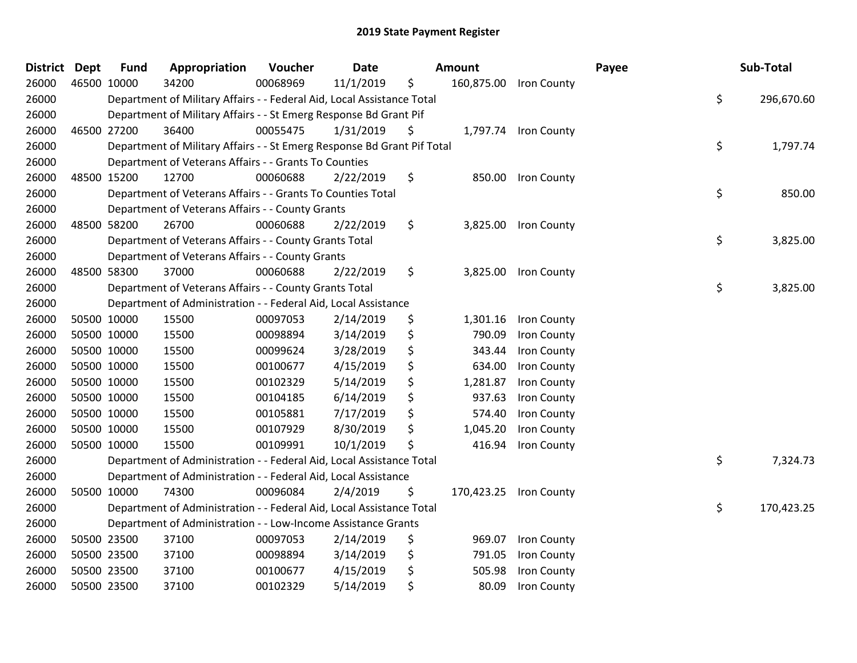| District | <b>Dept</b> | <b>Fund</b> | Appropriation                                                           | Voucher  | <b>Date</b> | Amount         |                        | Payee | Sub-Total        |
|----------|-------------|-------------|-------------------------------------------------------------------------|----------|-------------|----------------|------------------------|-------|------------------|
| 26000    | 46500 10000 |             | 34200                                                                   | 00068969 | 11/1/2019   | \$             | 160,875.00 Iron County |       |                  |
| 26000    |             |             | Department of Military Affairs - - Federal Aid, Local Assistance Total  |          |             |                |                        |       | \$<br>296,670.60 |
| 26000    |             |             | Department of Military Affairs - - St Emerg Response Bd Grant Pif       |          |             |                |                        |       |                  |
| 26000    |             | 46500 27200 | 36400                                                                   | 00055475 | 1/31/2019   | \$             | 1,797.74 Iron County   |       |                  |
| 26000    |             |             | Department of Military Affairs - - St Emerg Response Bd Grant Pif Total |          |             |                |                        |       | \$<br>1,797.74   |
| 26000    |             |             | Department of Veterans Affairs - - Grants To Counties                   |          |             |                |                        |       |                  |
| 26000    |             | 48500 15200 | 12700                                                                   | 00060688 | 2/22/2019   | \$<br>850.00   | Iron County            |       |                  |
| 26000    |             |             | Department of Veterans Affairs - - Grants To Counties Total             |          |             |                |                        |       | \$<br>850.00     |
| 26000    |             |             | Department of Veterans Affairs - - County Grants                        |          |             |                |                        |       |                  |
| 26000    |             | 48500 58200 | 26700                                                                   | 00060688 | 2/22/2019   | \$             | 3,825.00 Iron County   |       |                  |
| 26000    |             |             | Department of Veterans Affairs - - County Grants Total                  |          |             |                |                        |       | \$<br>3,825.00   |
| 26000    |             |             | Department of Veterans Affairs - - County Grants                        |          |             |                |                        |       |                  |
| 26000    |             | 48500 58300 | 37000                                                                   | 00060688 | 2/22/2019   | \$             | 3,825.00 Iron County   |       |                  |
| 26000    |             |             | Department of Veterans Affairs - - County Grants Total                  |          |             |                |                        |       | \$<br>3,825.00   |
| 26000    |             |             | Department of Administration - - Federal Aid, Local Assistance          |          |             |                |                        |       |                  |
| 26000    |             | 50500 10000 | 15500                                                                   | 00097053 | 2/14/2019   | \$<br>1,301.16 | <b>Iron County</b>     |       |                  |
| 26000    |             | 50500 10000 | 15500                                                                   | 00098894 | 3/14/2019   | \$<br>790.09   | Iron County            |       |                  |
| 26000    |             | 50500 10000 | 15500                                                                   | 00099624 | 3/28/2019   | \$<br>343.44   | Iron County            |       |                  |
| 26000    |             | 50500 10000 | 15500                                                                   | 00100677 | 4/15/2019   | \$<br>634.00   | Iron County            |       |                  |
| 26000    |             | 50500 10000 | 15500                                                                   | 00102329 | 5/14/2019   | \$<br>1,281.87 | Iron County            |       |                  |
| 26000    |             | 50500 10000 | 15500                                                                   | 00104185 | 6/14/2019   | \$<br>937.63   | Iron County            |       |                  |
| 26000    |             | 50500 10000 | 15500                                                                   | 00105881 | 7/17/2019   | \$<br>574.40   | Iron County            |       |                  |
| 26000    |             | 50500 10000 | 15500                                                                   | 00107929 | 8/30/2019   | \$<br>1,045.20 | <b>Iron County</b>     |       |                  |
| 26000    |             | 50500 10000 | 15500                                                                   | 00109991 | 10/1/2019   | \$<br>416.94   | Iron County            |       |                  |
| 26000    |             |             | Department of Administration - - Federal Aid, Local Assistance Total    |          |             |                |                        |       | \$<br>7,324.73   |
| 26000    |             |             | Department of Administration - - Federal Aid, Local Assistance          |          |             |                |                        |       |                  |
| 26000    |             | 50500 10000 | 74300                                                                   | 00096084 | 2/4/2019    | \$             | 170,423.25 Iron County |       |                  |
| 26000    |             |             | Department of Administration - - Federal Aid, Local Assistance Total    |          |             |                |                        |       | \$<br>170,423.25 |
| 26000    |             |             | Department of Administration - - Low-Income Assistance Grants           |          |             |                |                        |       |                  |
| 26000    |             | 50500 23500 | 37100                                                                   | 00097053 | 2/14/2019   | \$<br>969.07   | Iron County            |       |                  |
| 26000    |             | 50500 23500 | 37100                                                                   | 00098894 | 3/14/2019   | \$<br>791.05   | Iron County            |       |                  |
| 26000    |             | 50500 23500 | 37100                                                                   | 00100677 | 4/15/2019   | \$<br>505.98   | Iron County            |       |                  |
| 26000    |             | 50500 23500 | 37100                                                                   | 00102329 | 5/14/2019   | \$<br>80.09    | Iron County            |       |                  |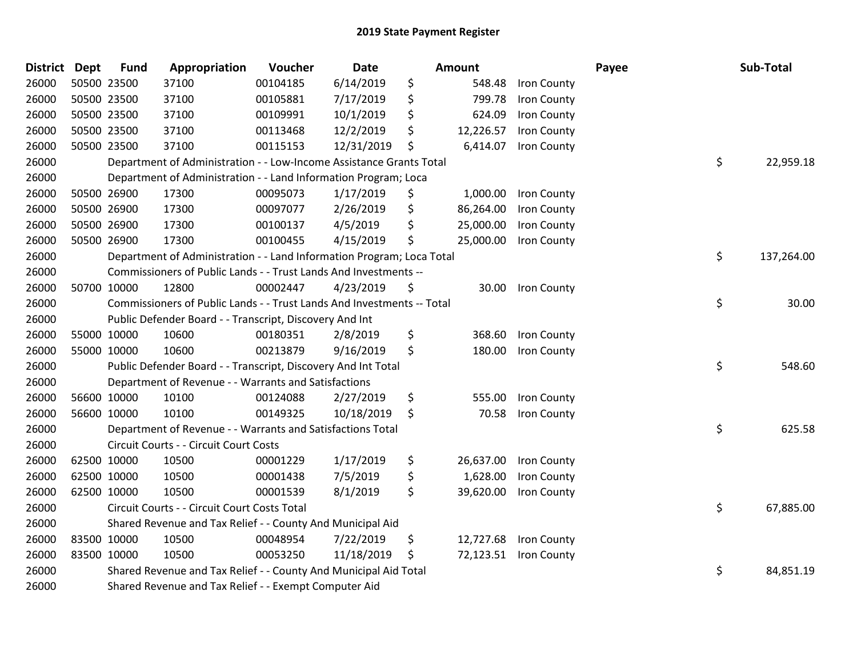| District Dept |             | <b>Fund</b> | Appropriation                                                          | Voucher  | <b>Date</b> | Amount          |                       | Payee | Sub-Total  |
|---------------|-------------|-------------|------------------------------------------------------------------------|----------|-------------|-----------------|-----------------------|-------|------------|
| 26000         |             | 50500 23500 | 37100                                                                  | 00104185 | 6/14/2019   | \$<br>548.48    | Iron County           |       |            |
| 26000         |             | 50500 23500 | 37100                                                                  | 00105881 | 7/17/2019   | \$<br>799.78    | Iron County           |       |            |
| 26000         |             | 50500 23500 | 37100                                                                  | 00109991 | 10/1/2019   | \$<br>624.09    | Iron County           |       |            |
| 26000         |             | 50500 23500 | 37100                                                                  | 00113468 | 12/2/2019   | \$<br>12,226.57 | <b>Iron County</b>    |       |            |
| 26000         |             | 50500 23500 | 37100                                                                  | 00115153 | 12/31/2019  | \$<br>6,414.07  | Iron County           |       |            |
| 26000         |             |             | Department of Administration - - Low-Income Assistance Grants Total    |          |             |                 |                       | \$    | 22,959.18  |
| 26000         |             |             | Department of Administration - - Land Information Program; Loca        |          |             |                 |                       |       |            |
| 26000         |             | 50500 26900 | 17300                                                                  | 00095073 | 1/17/2019   | \$<br>1,000.00  | Iron County           |       |            |
| 26000         |             | 50500 26900 | 17300                                                                  | 00097077 | 2/26/2019   | \$<br>86,264.00 | Iron County           |       |            |
| 26000         |             | 50500 26900 | 17300                                                                  | 00100137 | 4/5/2019    | \$<br>25,000.00 | Iron County           |       |            |
| 26000         |             | 50500 26900 | 17300                                                                  | 00100455 | 4/15/2019   | \$<br>25,000.00 | <b>Iron County</b>    |       |            |
| 26000         |             |             | Department of Administration - - Land Information Program; Loca Total  |          |             |                 |                       | \$    | 137,264.00 |
| 26000         |             |             | Commissioners of Public Lands - - Trust Lands And Investments --       |          |             |                 |                       |       |            |
| 26000         |             | 50700 10000 | 12800                                                                  | 00002447 | 4/23/2019   | \$<br>30.00     | Iron County           |       |            |
| 26000         |             |             | Commissioners of Public Lands - - Trust Lands And Investments -- Total |          |             |                 |                       | \$    | 30.00      |
| 26000         |             |             | Public Defender Board - - Transcript, Discovery And Int                |          |             |                 |                       |       |            |
| 26000         |             | 55000 10000 | 10600                                                                  | 00180351 | 2/8/2019    | \$<br>368.60    | Iron County           |       |            |
| 26000         |             | 55000 10000 | 10600                                                                  | 00213879 | 9/16/2019   | \$<br>180.00    | Iron County           |       |            |
| 26000         |             |             | Public Defender Board - - Transcript, Discovery And Int Total          |          |             |                 |                       | \$    | 548.60     |
| 26000         |             |             | Department of Revenue - - Warrants and Satisfactions                   |          |             |                 |                       |       |            |
| 26000         |             | 56600 10000 | 10100                                                                  | 00124088 | 2/27/2019   | \$<br>555.00    | Iron County           |       |            |
| 26000         |             | 56600 10000 | 10100                                                                  | 00149325 | 10/18/2019  | \$<br>70.58     | Iron County           |       |            |
| 26000         |             |             | Department of Revenue - - Warrants and Satisfactions Total             |          |             |                 |                       | \$    | 625.58     |
| 26000         |             |             | Circuit Courts - - Circuit Court Costs                                 |          |             |                 |                       |       |            |
| 26000         |             | 62500 10000 | 10500                                                                  | 00001229 | 1/17/2019   | \$<br>26,637.00 | Iron County           |       |            |
| 26000         |             | 62500 10000 | 10500                                                                  | 00001438 | 7/5/2019    | \$<br>1,628.00  | Iron County           |       |            |
| 26000         | 62500 10000 |             | 10500                                                                  | 00001539 | 8/1/2019    | \$<br>39,620.00 | Iron County           |       |            |
| 26000         |             |             | Circuit Courts - - Circuit Court Costs Total                           |          |             |                 |                       | \$    | 67,885.00  |
| 26000         |             |             | Shared Revenue and Tax Relief - - County And Municipal Aid             |          |             |                 |                       |       |            |
| 26000         | 83500 10000 |             | 10500                                                                  | 00048954 | 7/22/2019   | \$<br>12,727.68 | Iron County           |       |            |
| 26000         |             | 83500 10000 | 10500                                                                  | 00053250 | 11/18/2019  | \$              | 72,123.51 Iron County |       |            |
| 26000         |             |             | Shared Revenue and Tax Relief - - County And Municipal Aid Total       |          |             |                 |                       | \$    | 84,851.19  |
| 26000         |             |             | Shared Revenue and Tax Relief - - Exempt Computer Aid                  |          |             |                 |                       |       |            |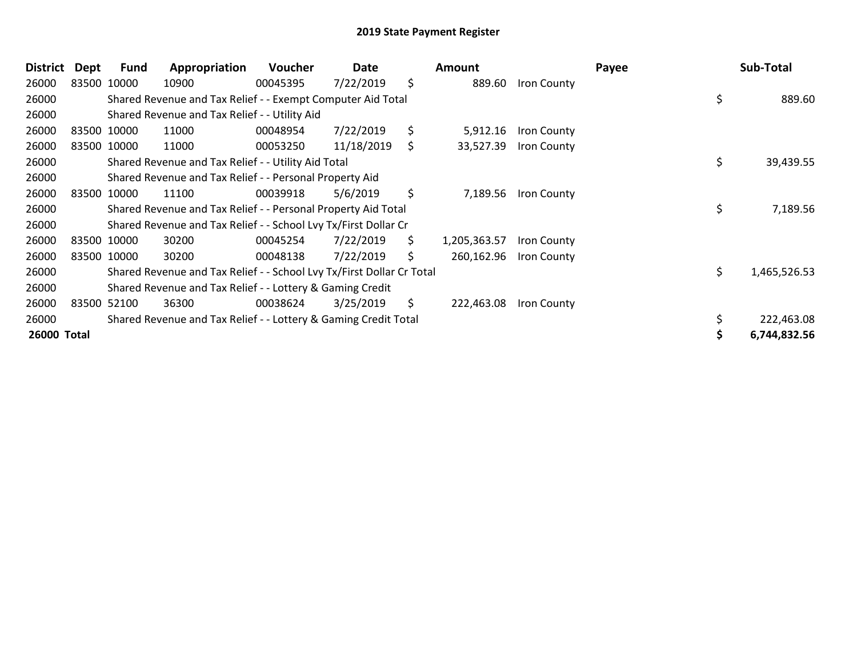| District    | Dept | Fund        | Appropriation                                                         | <b>Voucher</b> | Date       |     | Amount       |                    | Payee |  | Sub-Total    |  |
|-------------|------|-------------|-----------------------------------------------------------------------|----------------|------------|-----|--------------|--------------------|-------|--|--------------|--|
| 26000       |      | 83500 10000 | 10900                                                                 | 00045395       | 7/22/2019  | \$  | 889.60       | <b>Iron County</b> |       |  |              |  |
| 26000       |      |             | Shared Revenue and Tax Relief - - Exempt Computer Aid Total           |                |            |     |              |                    | \$    |  | 889.60       |  |
| 26000       |      |             | Shared Revenue and Tax Relief - - Utility Aid                         |                |            |     |              |                    |       |  |              |  |
| 26000       |      | 83500 10000 | 11000                                                                 | 00048954       | 7/22/2019  | \$  | 5,912.16     | Iron County        |       |  |              |  |
| 26000       |      | 83500 10000 | 11000                                                                 | 00053250       | 11/18/2019 | \$. | 33,527.39    | <b>Iron County</b> |       |  |              |  |
| 26000       |      |             | Shared Revenue and Tax Relief - - Utility Aid Total                   |                |            |     |              |                    | \$.   |  | 39,439.55    |  |
| 26000       |      |             | Shared Revenue and Tax Relief - - Personal Property Aid               |                |            |     |              |                    |       |  |              |  |
| 26000       |      | 83500 10000 | 11100                                                                 | 00039918       | 5/6/2019   | \$  | 7,189.56     | <b>Iron County</b> |       |  |              |  |
| 26000       |      |             | Shared Revenue and Tax Relief - - Personal Property Aid Total         |                |            |     |              |                    | \$    |  | 7,189.56     |  |
| 26000       |      |             | Shared Revenue and Tax Relief - - School Lvy Tx/First Dollar Cr       |                |            |     |              |                    |       |  |              |  |
| 26000       |      | 83500 10000 | 30200                                                                 | 00045254       | 7/22/2019  | \$. | 1,205,363.57 | <b>Iron County</b> |       |  |              |  |
| 26000       |      | 83500 10000 | 30200                                                                 | 00048138       | 7/22/2019  | Ś.  | 260,162.96   | Iron County        |       |  |              |  |
| 26000       |      |             | Shared Revenue and Tax Relief - - School Lvy Tx/First Dollar Cr Total |                |            |     |              |                    | \$    |  | 1,465,526.53 |  |
| 26000       |      |             | Shared Revenue and Tax Relief - - Lottery & Gaming Credit             |                |            |     |              |                    |       |  |              |  |
| 26000       |      | 83500 52100 | 36300                                                                 | 00038624       | 3/25/2019  | Ŝ.  | 222,463.08   | Iron County        |       |  |              |  |
| 26000       |      |             | Shared Revenue and Tax Relief - - Lottery & Gaming Credit Total       |                |            |     |              |                    |       |  | 222,463.08   |  |
| 26000 Total |      |             |                                                                       |                |            |     |              |                    |       |  | 6,744,832.56 |  |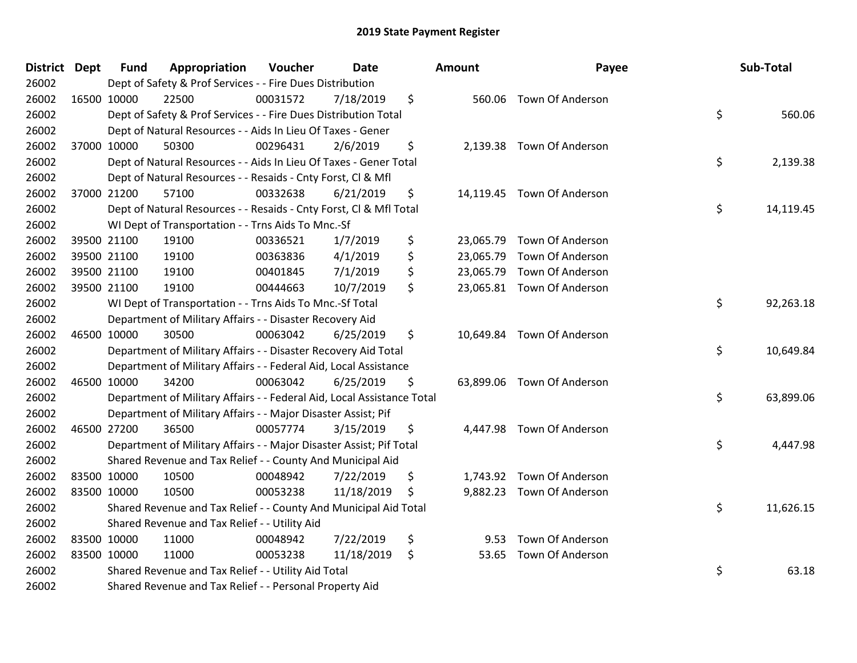| <b>District Dept</b> |             | <b>Fund</b> | Appropriation                                                          | Voucher  | <b>Date</b> | Amount     | Payee                      | Sub-Total       |
|----------------------|-------------|-------------|------------------------------------------------------------------------|----------|-------------|------------|----------------------------|-----------------|
| 26002                |             |             | Dept of Safety & Prof Services - - Fire Dues Distribution              |          |             |            |                            |                 |
| 26002                | 16500 10000 |             | 22500                                                                  | 00031572 | 7/18/2019   | \$         | 560.06 Town Of Anderson    |                 |
| 26002                |             |             | Dept of Safety & Prof Services - - Fire Dues Distribution Total        |          |             |            |                            | \$<br>560.06    |
| 26002                |             |             | Dept of Natural Resources - - Aids In Lieu Of Taxes - Gener            |          |             |            |                            |                 |
| 26002                | 37000 10000 |             | 50300                                                                  | 00296431 | 2/6/2019    | \$         | 2,139.38 Town Of Anderson  |                 |
| 26002                |             |             | Dept of Natural Resources - - Aids In Lieu Of Taxes - Gener Total      |          |             |            |                            | \$<br>2,139.38  |
| 26002                |             |             | Dept of Natural Resources - - Resaids - Cnty Forst, Cl & Mfl           |          |             |            |                            |                 |
| 26002                |             | 37000 21200 | 57100                                                                  | 00332638 | 6/21/2019   | \$         | 14,119.45 Town Of Anderson |                 |
| 26002                |             |             | Dept of Natural Resources - - Resaids - Cnty Forst, Cl & Mfl Total     |          |             |            |                            | \$<br>14,119.45 |
| 26002                |             |             | WI Dept of Transportation - - Trns Aids To Mnc.-Sf                     |          |             |            |                            |                 |
| 26002                | 39500 21100 |             | 19100                                                                  | 00336521 | 1/7/2019    | \$         | 23,065.79 Town Of Anderson |                 |
| 26002                |             | 39500 21100 | 19100                                                                  | 00363836 | 4/1/2019    | \$         | 23,065.79 Town Of Anderson |                 |
| 26002                |             | 39500 21100 | 19100                                                                  | 00401845 | 7/1/2019    | \$         | 23,065.79 Town Of Anderson |                 |
| 26002                | 39500 21100 |             | 19100                                                                  | 00444663 | 10/7/2019   | \$         | 23,065.81 Town Of Anderson |                 |
| 26002                |             |             | WI Dept of Transportation - - Trns Aids To Mnc.-Sf Total               |          |             |            |                            | \$<br>92,263.18 |
| 26002                |             |             | Department of Military Affairs - - Disaster Recovery Aid               |          |             |            |                            |                 |
| 26002                |             | 46500 10000 | 30500                                                                  | 00063042 | 6/25/2019   | \$         | 10,649.84 Town Of Anderson |                 |
| 26002                |             |             | Department of Military Affairs - - Disaster Recovery Aid Total         |          |             |            |                            | \$<br>10,649.84 |
| 26002                |             |             | Department of Military Affairs - - Federal Aid, Local Assistance       |          |             |            |                            |                 |
| 26002                | 46500 10000 |             | 34200                                                                  | 00063042 | 6/25/2019   | \$         | 63,899.06 Town Of Anderson |                 |
| 26002                |             |             | Department of Military Affairs - - Federal Aid, Local Assistance Total |          |             |            |                            | \$<br>63,899.06 |
| 26002                |             |             | Department of Military Affairs - - Major Disaster Assist; Pif          |          |             |            |                            |                 |
| 26002                |             | 46500 27200 | 36500                                                                  | 00057774 | 3/15/2019   | \$         | 4,447.98 Town Of Anderson  |                 |
| 26002                |             |             | Department of Military Affairs - - Major Disaster Assist; Pif Total    |          |             |            |                            | \$<br>4,447.98  |
| 26002                |             |             | Shared Revenue and Tax Relief - - County And Municipal Aid             |          |             |            |                            |                 |
| 26002                |             | 83500 10000 | 10500                                                                  | 00048942 | 7/22/2019   | \$         | 1,743.92 Town Of Anderson  |                 |
| 26002                | 83500 10000 |             | 10500                                                                  | 00053238 | 11/18/2019  | \$         | 9,882.23 Town Of Anderson  |                 |
| 26002                |             |             | Shared Revenue and Tax Relief - - County And Municipal Aid Total       |          |             |            |                            | \$<br>11,626.15 |
| 26002                |             |             | Shared Revenue and Tax Relief - - Utility Aid                          |          |             |            |                            |                 |
| 26002                |             | 83500 10000 | 11000                                                                  | 00048942 | 7/22/2019   | \$<br>9.53 | <b>Town Of Anderson</b>    |                 |
| 26002                | 83500 10000 |             | 11000                                                                  | 00053238 | 11/18/2019  | \$         | 53.65 Town Of Anderson     |                 |
| 26002                |             |             | Shared Revenue and Tax Relief - - Utility Aid Total                    |          |             |            |                            | \$<br>63.18     |
| 26002                |             |             | Shared Revenue and Tax Relief - - Personal Property Aid                |          |             |            |                            |                 |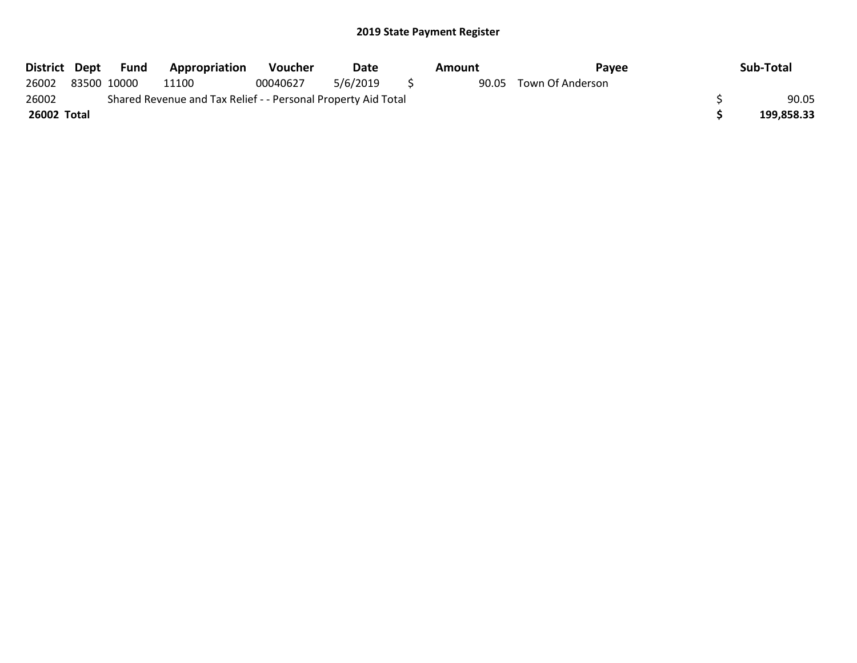| District Dept |             | Fund | Appropriation                                                 | <b>Voucher</b> | Date     | Amount | Pavee                  | Sub-Total  |
|---------------|-------------|------|---------------------------------------------------------------|----------------|----------|--------|------------------------|------------|
| 26002         | 83500 10000 |      | 11100                                                         | 00040627       | 5/6/2019 |        | 90.05 Town Of Anderson |            |
| 26002         |             |      | Shared Revenue and Tax Relief - - Personal Property Aid Total |                |          |        |                        | 90.05      |
| 26002 Total   |             |      |                                                               |                |          |        |                        | 199,858.33 |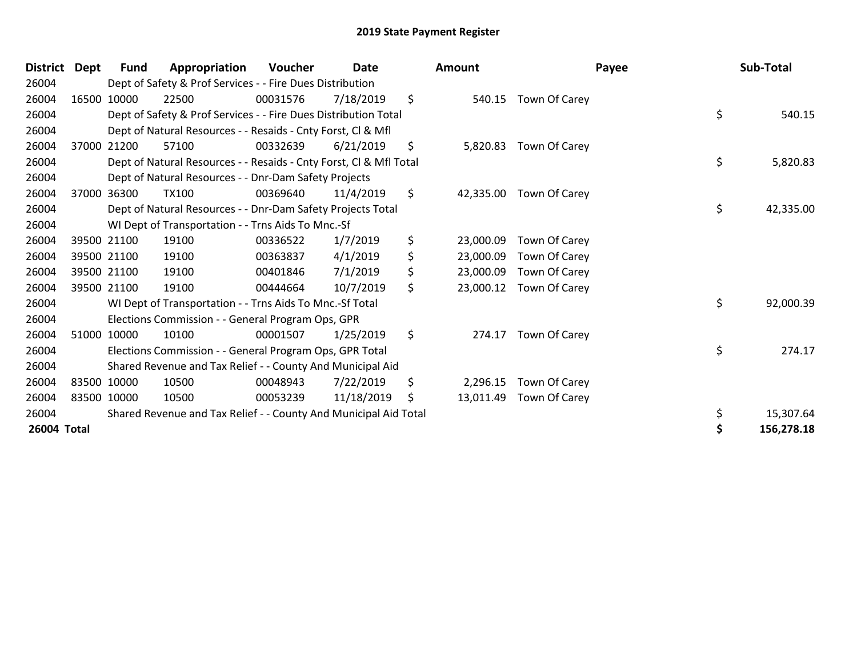| <b>District</b> | <b>Dept</b> | Fund  | Appropriation                                                      | Voucher  | Date       |     | <b>Amount</b> | Payee         | Sub-Total        |
|-----------------|-------------|-------|--------------------------------------------------------------------|----------|------------|-----|---------------|---------------|------------------|
| 26004           |             |       | Dept of Safety & Prof Services - - Fire Dues Distribution          |          |            |     |               |               |                  |
| 26004           | 16500 10000 |       | 22500                                                              | 00031576 | 7/18/2019  | \$  | 540.15        | Town Of Carey |                  |
| 26004           |             |       | Dept of Safety & Prof Services - - Fire Dues Distribution Total    |          |            |     |               |               | \$<br>540.15     |
| 26004           |             |       | Dept of Natural Resources - - Resaids - Cnty Forst, CI & Mfl       |          |            |     |               |               |                  |
| 26004           | 37000       | 21200 | 57100                                                              | 00332639 | 6/21/2019  | \$  | 5,820.83      | Town Of Carey |                  |
| 26004           |             |       | Dept of Natural Resources - - Resaids - Cnty Forst, Cl & Mfl Total |          |            |     |               |               | \$<br>5,820.83   |
| 26004           |             |       | Dept of Natural Resources - - Dnr-Dam Safety Projects              |          |            |     |               |               |                  |
| 26004           | 37000       | 36300 | <b>TX100</b>                                                       | 00369640 | 11/4/2019  | \$  | 42,335.00     | Town Of Carey |                  |
| 26004           |             |       | Dept of Natural Resources - - Dnr-Dam Safety Projects Total        |          |            |     |               |               | \$<br>42,335.00  |
| 26004           |             |       | WI Dept of Transportation - - Trns Aids To Mnc.-Sf                 |          |            |     |               |               |                  |
| 26004           | 39500 21100 |       | 19100                                                              | 00336522 | 1/7/2019   | \$  | 23,000.09     | Town Of Carey |                  |
| 26004           | 39500 21100 |       | 19100                                                              | 00363837 | 4/1/2019   | \$  | 23,000.09     | Town Of Carey |                  |
| 26004           | 39500 21100 |       | 19100                                                              | 00401846 | 7/1/2019   | \$  | 23,000.09     | Town Of Carey |                  |
| 26004           | 39500 21100 |       | 19100                                                              | 00444664 | 10/7/2019  | \$  | 23,000.12     | Town Of Carey |                  |
| 26004           |             |       | WI Dept of Transportation - - Trns Aids To Mnc.-Sf Total           |          |            |     |               |               | \$<br>92,000.39  |
| 26004           |             |       | Elections Commission - - General Program Ops, GPR                  |          |            |     |               |               |                  |
| 26004           | 51000 10000 |       | 10100                                                              | 00001507 | 1/25/2019  | \$  | 274.17        | Town Of Carey |                  |
| 26004           |             |       | Elections Commission - - General Program Ops, GPR Total            |          |            |     |               |               | \$<br>274.17     |
| 26004           |             |       | Shared Revenue and Tax Relief - - County And Municipal Aid         |          |            |     |               |               |                  |
| 26004           | 83500 10000 |       | 10500                                                              | 00048943 | 7/22/2019  | \$  | 2,296.15      | Town Of Carey |                  |
| 26004           | 83500 10000 |       | 10500                                                              | 00053239 | 11/18/2019 | \$. | 13,011.49     | Town Of Carey |                  |
| 26004           |             |       | Shared Revenue and Tax Relief - - County And Municipal Aid Total   |          |            |     |               |               | \$<br>15,307.64  |
| 26004 Total     |             |       |                                                                    |          |            |     |               |               | \$<br>156,278.18 |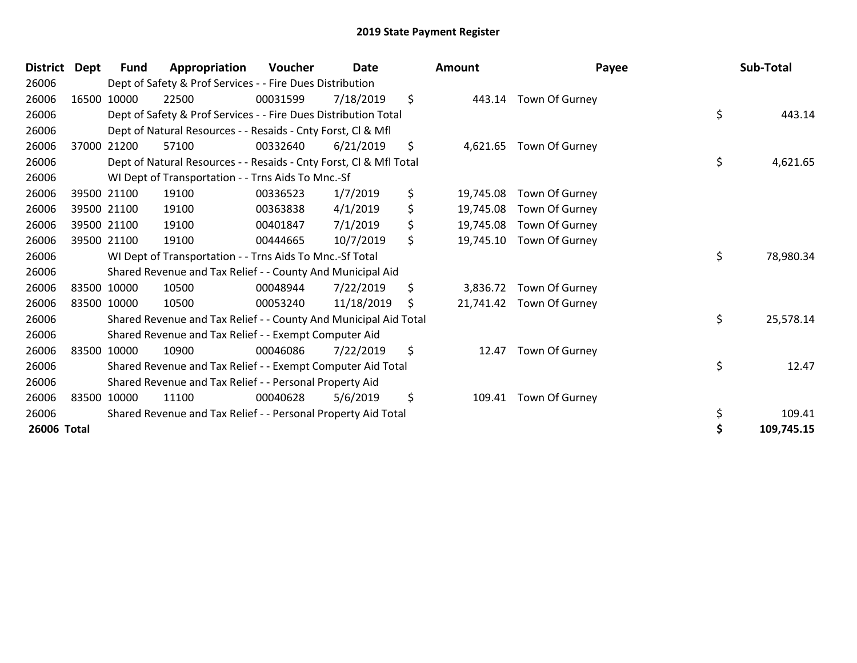| <b>District</b> | <b>Dept</b> | Fund        | Appropriation                                                      | Voucher  | <b>Date</b> | <b>Amount</b>   | Payee                   | Sub-Total        |
|-----------------|-------------|-------------|--------------------------------------------------------------------|----------|-------------|-----------------|-------------------------|------------------|
| 26006           |             |             | Dept of Safety & Prof Services - - Fire Dues Distribution          |          |             |                 |                         |                  |
| 26006           |             | 16500 10000 | 22500                                                              | 00031599 | 7/18/2019   | \$<br>443.14    | Town Of Gurney          |                  |
| 26006           |             |             | Dept of Safety & Prof Services - - Fire Dues Distribution Total    |          |             |                 |                         | \$<br>443.14     |
| 26006           |             |             | Dept of Natural Resources - - Resaids - Cnty Forst, CI & Mfl       |          |             |                 |                         |                  |
| 26006           |             | 37000 21200 | 57100                                                              | 00332640 | 6/21/2019   | \$              | 4,621.65 Town Of Gurney |                  |
| 26006           |             |             | Dept of Natural Resources - - Resaids - Cnty Forst, Cl & Mfl Total |          |             |                 |                         | \$<br>4,621.65   |
| 26006           |             |             | WI Dept of Transportation - - Trns Aids To Mnc.-Sf                 |          |             |                 |                         |                  |
| 26006           |             | 39500 21100 | 19100                                                              | 00336523 | 1/7/2019    | \$<br>19,745.08 | Town Of Gurney          |                  |
| 26006           |             | 39500 21100 | 19100                                                              | 00363838 | 4/1/2019    | \$<br>19,745.08 | Town Of Gurney          |                  |
| 26006           |             | 39500 21100 | 19100                                                              | 00401847 | 7/1/2019    | \$<br>19,745.08 | Town Of Gurney          |                  |
| 26006           |             | 39500 21100 | 19100                                                              | 00444665 | 10/7/2019   | \$<br>19,745.10 | Town Of Gurney          |                  |
| 26006           |             |             | WI Dept of Transportation - - Trns Aids To Mnc.-Sf Total           |          |             |                 |                         | \$<br>78,980.34  |
| 26006           |             |             | Shared Revenue and Tax Relief - - County And Municipal Aid         |          |             |                 |                         |                  |
| 26006           | 83500 10000 |             | 10500                                                              | 00048944 | 7/22/2019   | \$<br>3,836.72  | Town Of Gurney          |                  |
| 26006           |             | 83500 10000 | 10500                                                              | 00053240 | 11/18/2019  | \$<br>21,741.42 | Town Of Gurney          |                  |
| 26006           |             |             | Shared Revenue and Tax Relief - - County And Municipal Aid Total   |          |             |                 |                         | \$<br>25,578.14  |
| 26006           |             |             | Shared Revenue and Tax Relief - - Exempt Computer Aid              |          |             |                 |                         |                  |
| 26006           | 83500 10000 |             | 10900                                                              | 00046086 | 7/22/2019   | \$<br>12.47     | Town Of Gurney          |                  |
| 26006           |             |             | Shared Revenue and Tax Relief - - Exempt Computer Aid Total        |          |             |                 |                         | \$<br>12.47      |
| 26006           |             |             | Shared Revenue and Tax Relief - - Personal Property Aid            |          |             |                 |                         |                  |
| 26006           | 83500 10000 |             | 11100                                                              | 00040628 | 5/6/2019    | \$<br>109.41    | Town Of Gurney          |                  |
| 26006           |             |             | Shared Revenue and Tax Relief - - Personal Property Aid Total      |          |             |                 |                         | \$<br>109.41     |
| 26006 Total     |             |             |                                                                    |          |             |                 |                         | \$<br>109,745.15 |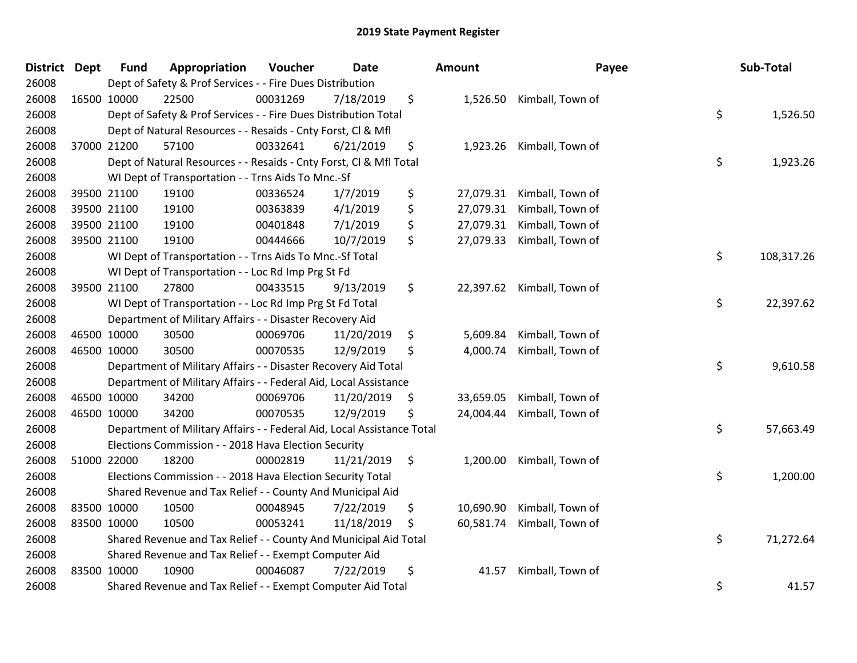| <b>District Dept</b> |             | <b>Fund</b> | Appropriation                                                          | Voucher  | Date       | <b>Amount</b>   | Payee                      | Sub-Total        |
|----------------------|-------------|-------------|------------------------------------------------------------------------|----------|------------|-----------------|----------------------------|------------------|
| 26008                |             |             | Dept of Safety & Prof Services - - Fire Dues Distribution              |          |            |                 |                            |                  |
| 26008                |             | 16500 10000 | 22500                                                                  | 00031269 | 7/18/2019  | \$              | 1,526.50 Kimball, Town of  |                  |
| 26008                |             |             | Dept of Safety & Prof Services - - Fire Dues Distribution Total        |          |            |                 |                            | \$<br>1,526.50   |
| 26008                |             |             | Dept of Natural Resources - - Resaids - Cnty Forst, CI & Mfl           |          |            |                 |                            |                  |
| 26008                |             | 37000 21200 | 57100                                                                  | 00332641 | 6/21/2019  | \$<br>1,923.26  | Kimball, Town of           |                  |
| 26008                |             |             | Dept of Natural Resources - - Resaids - Cnty Forst, Cl & Mfl Total     |          |            |                 |                            | \$<br>1,923.26   |
| 26008                |             |             | WI Dept of Transportation - - Trns Aids To Mnc.-Sf                     |          |            |                 |                            |                  |
| 26008                |             | 39500 21100 | 19100                                                                  | 00336524 | 1/7/2019   | \$<br>27,079.31 | Kimball, Town of           |                  |
| 26008                |             | 39500 21100 | 19100                                                                  | 00363839 | 4/1/2019   | \$<br>27,079.31 | Kimball, Town of           |                  |
| 26008                |             | 39500 21100 | 19100                                                                  | 00401848 | 7/1/2019   | \$<br>27,079.31 | Kimball, Town of           |                  |
| 26008                |             | 39500 21100 | 19100                                                                  | 00444666 | 10/7/2019  | \$<br>27,079.33 | Kimball, Town of           |                  |
| 26008                |             |             | WI Dept of Transportation - - Trns Aids To Mnc.-Sf Total               |          |            |                 |                            | \$<br>108,317.26 |
| 26008                |             |             | WI Dept of Transportation - - Loc Rd Imp Prg St Fd                     |          |            |                 |                            |                  |
| 26008                |             | 39500 21100 | 27800                                                                  | 00433515 | 9/13/2019  | \$              | 22,397.62 Kimball, Town of |                  |
| 26008                |             |             | WI Dept of Transportation - - Loc Rd Imp Prg St Fd Total               |          |            |                 |                            | \$<br>22,397.62  |
| 26008                |             |             | Department of Military Affairs - - Disaster Recovery Aid               |          |            |                 |                            |                  |
| 26008                |             | 46500 10000 | 30500                                                                  | 00069706 | 11/20/2019 | \$<br>5,609.84  | Kimball, Town of           |                  |
| 26008                |             | 46500 10000 | 30500                                                                  | 00070535 | 12/9/2019  | \$<br>4,000.74  | Kimball, Town of           |                  |
| 26008                |             |             | Department of Military Affairs - - Disaster Recovery Aid Total         |          |            |                 |                            | \$<br>9,610.58   |
| 26008                |             |             | Department of Military Affairs - - Federal Aid, Local Assistance       |          |            |                 |                            |                  |
| 26008                |             | 46500 10000 | 34200                                                                  | 00069706 | 11/20/2019 | \$<br>33,659.05 | Kimball, Town of           |                  |
| 26008                |             | 46500 10000 | 34200                                                                  | 00070535 | 12/9/2019  | \$<br>24,004.44 | Kimball, Town of           |                  |
| 26008                |             |             | Department of Military Affairs - - Federal Aid, Local Assistance Total |          |            |                 |                            | \$<br>57,663.49  |
| 26008                |             |             | Elections Commission - - 2018 Hava Election Security                   |          |            |                 |                            |                  |
| 26008                |             | 51000 22000 | 18200                                                                  | 00002819 | 11/21/2019 | \$<br>1,200.00  | Kimball, Town of           |                  |
| 26008                |             |             | Elections Commission - - 2018 Hava Election Security Total             |          |            |                 |                            | \$<br>1,200.00   |
| 26008                |             |             | Shared Revenue and Tax Relief - - County And Municipal Aid             |          |            |                 |                            |                  |
| 26008                |             | 83500 10000 | 10500                                                                  | 00048945 | 7/22/2019  | \$<br>10,690.90 | Kimball, Town of           |                  |
| 26008                | 83500 10000 |             | 10500                                                                  | 00053241 | 11/18/2019 | \$<br>60,581.74 | Kimball, Town of           |                  |
| 26008                |             |             | Shared Revenue and Tax Relief - - County And Municipal Aid Total       |          |            |                 |                            | \$<br>71,272.64  |
| 26008                |             |             | Shared Revenue and Tax Relief - - Exempt Computer Aid                  |          |            |                 |                            |                  |
| 26008                |             | 83500 10000 | 10900                                                                  | 00046087 | 7/22/2019  | \$<br>41.57     | Kimball, Town of           |                  |
| 26008                |             |             | Shared Revenue and Tax Relief - - Exempt Computer Aid Total            |          |            |                 |                            | \$<br>41.57      |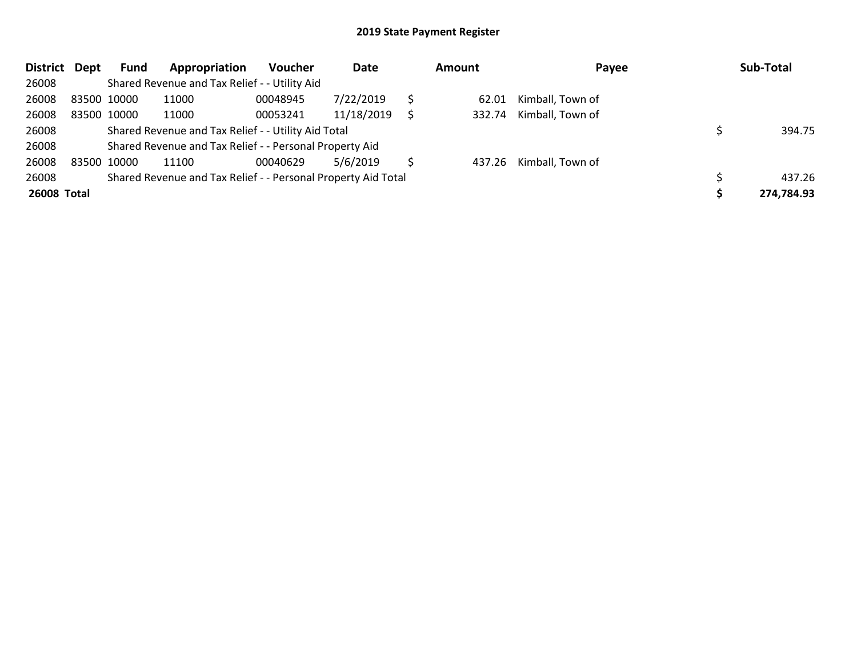| <b>District</b> | Dept | Fund        | Appropriation                                                 | <b>Voucher</b> | Date       |   | Amount | Payee                   | Sub-Total  |
|-----------------|------|-------------|---------------------------------------------------------------|----------------|------------|---|--------|-------------------------|------------|
| 26008           |      |             | Shared Revenue and Tax Relief - - Utility Aid                 |                |            |   |        |                         |            |
| 26008           |      | 83500 10000 | 11000                                                         | 00048945       | 7/22/2019  |   | 62.01  | Kimball, Town of        |            |
| 26008           |      | 83500 10000 | 11000                                                         | 00053241       | 11/18/2019 | S | 332.74 | Kimball, Town of        |            |
| 26008           |      |             | Shared Revenue and Tax Relief - - Utility Aid Total           |                |            |   |        |                         | 394.75     |
| 26008           |      |             | Shared Revenue and Tax Relief - - Personal Property Aid       |                |            |   |        |                         |            |
| 26008           |      | 83500 10000 | 11100                                                         | 00040629       | 5/6/2019   |   |        | 437.26 Kimball, Town of |            |
| 26008           |      |             | Shared Revenue and Tax Relief - - Personal Property Aid Total |                |            |   |        |                         | 437.26     |
| 26008 Total     |      |             |                                                               |                |            |   |        |                         | 274,784.93 |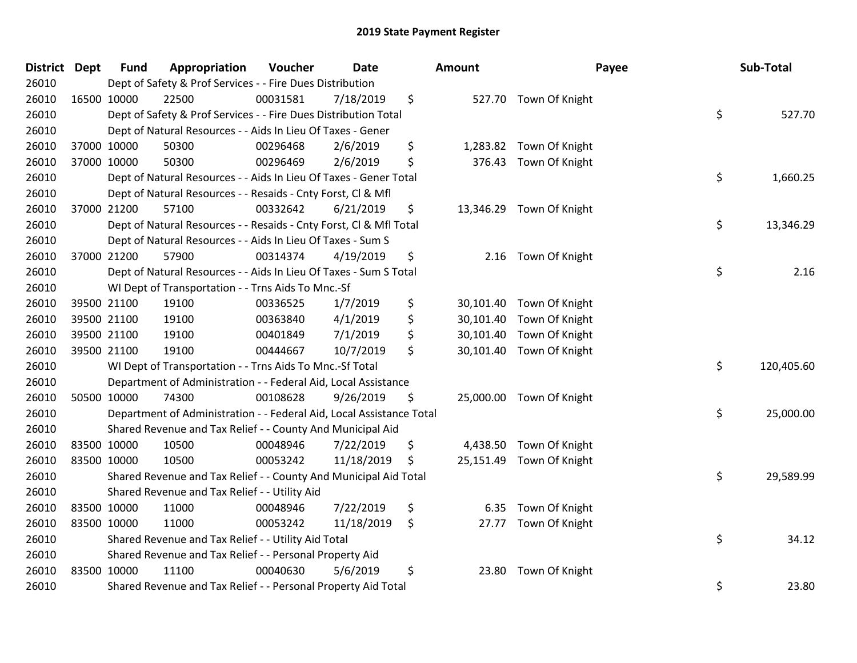| District Dept |             | <b>Fund</b> | Appropriation                                                        | Voucher  | <b>Date</b> | Amount          |                          | Payee | Sub-Total  |
|---------------|-------------|-------------|----------------------------------------------------------------------|----------|-------------|-----------------|--------------------------|-------|------------|
| 26010         |             |             | Dept of Safety & Prof Services - - Fire Dues Distribution            |          |             |                 |                          |       |            |
| 26010         | 16500 10000 |             | 22500                                                                | 00031581 | 7/18/2019   | \$              | 527.70 Town Of Knight    |       |            |
| 26010         |             |             | Dept of Safety & Prof Services - - Fire Dues Distribution Total      |          |             |                 |                          | \$    | 527.70     |
| 26010         |             |             | Dept of Natural Resources - - Aids In Lieu Of Taxes - Gener          |          |             |                 |                          |       |            |
| 26010         |             | 37000 10000 | 50300                                                                | 00296468 | 2/6/2019    | \$              | 1,283.82 Town Of Knight  |       |            |
| 26010         |             | 37000 10000 | 50300                                                                | 00296469 | 2/6/2019    | \$<br>376.43    | Town Of Knight           |       |            |
| 26010         |             |             | Dept of Natural Resources - - Aids In Lieu Of Taxes - Gener Total    |          |             |                 |                          | \$    | 1,660.25   |
| 26010         |             |             | Dept of Natural Resources - - Resaids - Cnty Forst, CI & Mfl         |          |             |                 |                          |       |            |
| 26010         |             | 37000 21200 | 57100                                                                | 00332642 | 6/21/2019   | \$              | 13,346.29 Town Of Knight |       |            |
| 26010         |             |             | Dept of Natural Resources - - Resaids - Cnty Forst, CI & Mfl Total   |          |             |                 |                          | \$    | 13,346.29  |
| 26010         |             |             | Dept of Natural Resources - - Aids In Lieu Of Taxes - Sum S          |          |             |                 |                          |       |            |
| 26010         |             | 37000 21200 | 57900                                                                | 00314374 | 4/19/2019   | \$              | 2.16 Town Of Knight      |       |            |
| 26010         |             |             | Dept of Natural Resources - - Aids In Lieu Of Taxes - Sum S Total    |          |             |                 |                          | \$    | 2.16       |
| 26010         |             |             | WI Dept of Transportation - - Trns Aids To Mnc.-Sf                   |          |             |                 |                          |       |            |
| 26010         |             | 39500 21100 | 19100                                                                | 00336525 | 1/7/2019    | \$<br>30,101.40 | Town Of Knight           |       |            |
| 26010         |             | 39500 21100 | 19100                                                                | 00363840 | 4/1/2019    | \$<br>30,101.40 | Town Of Knight           |       |            |
| 26010         |             | 39500 21100 | 19100                                                                | 00401849 | 7/1/2019    | \$<br>30,101.40 | Town Of Knight           |       |            |
| 26010         |             | 39500 21100 | 19100                                                                | 00444667 | 10/7/2019   | \$              | 30,101.40 Town Of Knight |       |            |
| 26010         |             |             | WI Dept of Transportation - - Trns Aids To Mnc .- Sf Total           |          |             |                 |                          | \$    | 120,405.60 |
| 26010         |             |             | Department of Administration - - Federal Aid, Local Assistance       |          |             |                 |                          |       |            |
| 26010         |             | 50500 10000 | 74300                                                                | 00108628 | 9/26/2019   | \$              | 25,000.00 Town Of Knight |       |            |
| 26010         |             |             | Department of Administration - - Federal Aid, Local Assistance Total |          |             |                 |                          | \$    | 25,000.00  |
| 26010         |             |             | Shared Revenue and Tax Relief - - County And Municipal Aid           |          |             |                 |                          |       |            |
| 26010         | 83500 10000 |             | 10500                                                                | 00048946 | 7/22/2019   | \$              | 4,438.50 Town Of Knight  |       |            |
| 26010         | 83500 10000 |             | 10500                                                                | 00053242 | 11/18/2019  | \$              | 25,151.49 Town Of Knight |       |            |
| 26010         |             |             | Shared Revenue and Tax Relief - - County And Municipal Aid Total     |          |             |                 |                          | \$    | 29,589.99  |
| 26010         |             |             | Shared Revenue and Tax Relief - - Utility Aid                        |          |             |                 |                          |       |            |
| 26010         | 83500 10000 |             | 11000                                                                | 00048946 | 7/22/2019   | \$<br>6.35      | Town Of Knight           |       |            |
| 26010         | 83500 10000 |             | 11000                                                                | 00053242 | 11/18/2019  | \$<br>27.77     | Town Of Knight           |       |            |
| 26010         |             |             | Shared Revenue and Tax Relief - - Utility Aid Total                  |          |             |                 |                          | \$    | 34.12      |
| 26010         |             |             | Shared Revenue and Tax Relief - - Personal Property Aid              |          |             |                 |                          |       |            |
| 26010         |             | 83500 10000 | 11100                                                                | 00040630 | 5/6/2019    | \$<br>23.80     | Town Of Knight           |       |            |
| 26010         |             |             | Shared Revenue and Tax Relief - - Personal Property Aid Total        |          |             |                 |                          | \$    | 23.80      |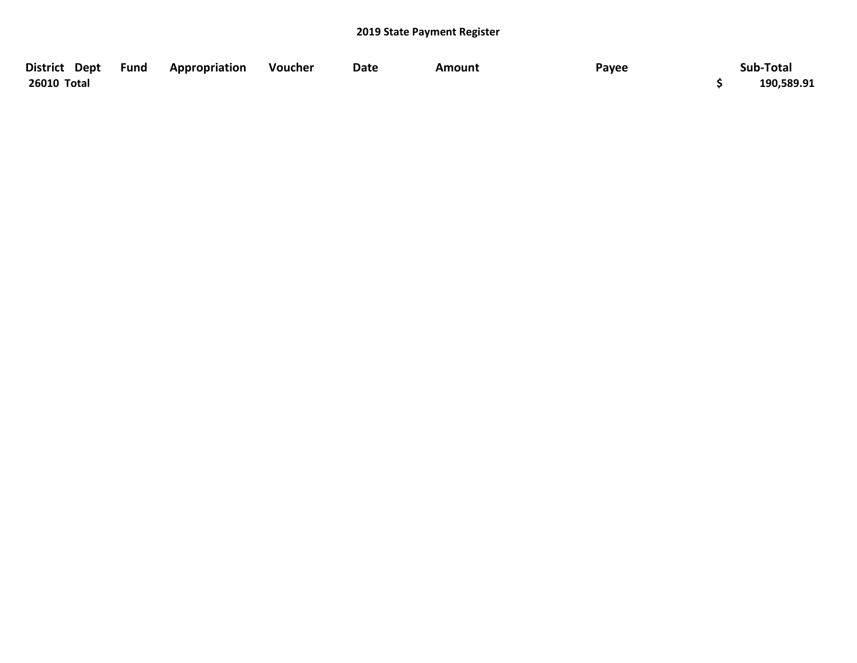| District Dept Fund | Appropriation | Voucher | <b>Date</b> | Amount | Payee | Sub-Total  |
|--------------------|---------------|---------|-------------|--------|-------|------------|
| 26010 Total        |               |         |             |        |       | 190,589.91 |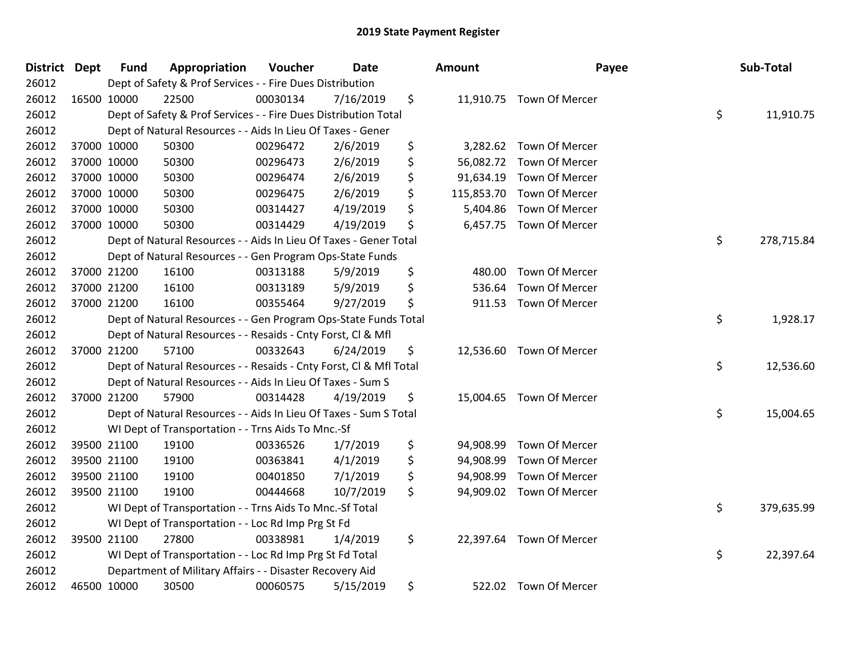| <b>District Dept</b> | <b>Fund</b> | Appropriation                                                      | Voucher  | <b>Date</b> | <b>Amount</b>    | Payee                    | Sub-Total        |
|----------------------|-------------|--------------------------------------------------------------------|----------|-------------|------------------|--------------------------|------------------|
| 26012                |             | Dept of Safety & Prof Services - - Fire Dues Distribution          |          |             |                  |                          |                  |
| 26012                | 16500 10000 | 22500                                                              | 00030134 | 7/16/2019   | \$               | 11,910.75 Town Of Mercer |                  |
| 26012                |             | Dept of Safety & Prof Services - - Fire Dues Distribution Total    |          |             |                  |                          | \$<br>11,910.75  |
| 26012                |             | Dept of Natural Resources - - Aids In Lieu Of Taxes - Gener        |          |             |                  |                          |                  |
| 26012                | 37000 10000 | 50300                                                              | 00296472 | 2/6/2019    | \$<br>3,282.62   | Town Of Mercer           |                  |
| 26012                | 37000 10000 | 50300                                                              | 00296473 | 2/6/2019    | \$<br>56,082.72  | Town Of Mercer           |                  |
| 26012                | 37000 10000 | 50300                                                              | 00296474 | 2/6/2019    | \$<br>91,634.19  | Town Of Mercer           |                  |
| 26012                | 37000 10000 | 50300                                                              | 00296475 | 2/6/2019    | \$<br>115,853.70 | Town Of Mercer           |                  |
| 26012                | 37000 10000 | 50300                                                              | 00314427 | 4/19/2019   | \$<br>5,404.86   | Town Of Mercer           |                  |
| 26012                | 37000 10000 | 50300                                                              | 00314429 | 4/19/2019   | \$<br>6,457.75   | Town Of Mercer           |                  |
| 26012                |             | Dept of Natural Resources - - Aids In Lieu Of Taxes - Gener Total  |          |             |                  |                          | \$<br>278,715.84 |
| 26012                |             | Dept of Natural Resources - - Gen Program Ops-State Funds          |          |             |                  |                          |                  |
| 26012                | 37000 21200 | 16100                                                              | 00313188 | 5/9/2019    | \$<br>480.00     | Town Of Mercer           |                  |
| 26012                | 37000 21200 | 16100                                                              | 00313189 | 5/9/2019    | \$<br>536.64     | Town Of Mercer           |                  |
| 26012                | 37000 21200 | 16100                                                              | 00355464 | 9/27/2019   | \$<br>911.53     | Town Of Mercer           |                  |
| 26012                |             | Dept of Natural Resources - - Gen Program Ops-State Funds Total    |          |             |                  |                          | \$<br>1,928.17   |
| 26012                |             | Dept of Natural Resources - - Resaids - Cnty Forst, Cl & Mfl       |          |             |                  |                          |                  |
| 26012                | 37000 21200 | 57100                                                              | 00332643 | 6/24/2019   | \$               | 12,536.60 Town Of Mercer |                  |
| 26012                |             | Dept of Natural Resources - - Resaids - Cnty Forst, Cl & Mfl Total |          |             |                  |                          | \$<br>12,536.60  |
| 26012                |             | Dept of Natural Resources - - Aids In Lieu Of Taxes - Sum S        |          |             |                  |                          |                  |
| 26012                | 37000 21200 | 57900                                                              | 00314428 | 4/19/2019   | \$               | 15,004.65 Town Of Mercer |                  |
| 26012                |             | Dept of Natural Resources - - Aids In Lieu Of Taxes - Sum S Total  |          |             |                  |                          | \$<br>15,004.65  |
| 26012                |             | WI Dept of Transportation - - Trns Aids To Mnc.-Sf                 |          |             |                  |                          |                  |
| 26012                | 39500 21100 | 19100                                                              | 00336526 | 1/7/2019    | \$<br>94,908.99  | Town Of Mercer           |                  |
| 26012                | 39500 21100 | 19100                                                              | 00363841 | 4/1/2019    | \$<br>94,908.99  | Town Of Mercer           |                  |
| 26012                | 39500 21100 | 19100                                                              | 00401850 | 7/1/2019    | \$<br>94,908.99  | Town Of Mercer           |                  |
| 26012                | 39500 21100 | 19100                                                              | 00444668 | 10/7/2019   | \$<br>94,909.02  | Town Of Mercer           |                  |
| 26012                |             | WI Dept of Transportation - - Trns Aids To Mnc.-Sf Total           |          |             |                  |                          | \$<br>379,635.99 |
| 26012                |             | WI Dept of Transportation - - Loc Rd Imp Prg St Fd                 |          |             |                  |                          |                  |
| 26012                | 39500 21100 | 27800                                                              | 00338981 | 1/4/2019    | \$               | 22,397.64 Town Of Mercer |                  |
| 26012                |             | WI Dept of Transportation - - Loc Rd Imp Prg St Fd Total           |          |             |                  |                          | \$<br>22,397.64  |
| 26012                |             | Department of Military Affairs - - Disaster Recovery Aid           |          |             |                  |                          |                  |
| 26012                | 46500 10000 | 30500                                                              | 00060575 | 5/15/2019   | \$<br>522.02     | <b>Town Of Mercer</b>    |                  |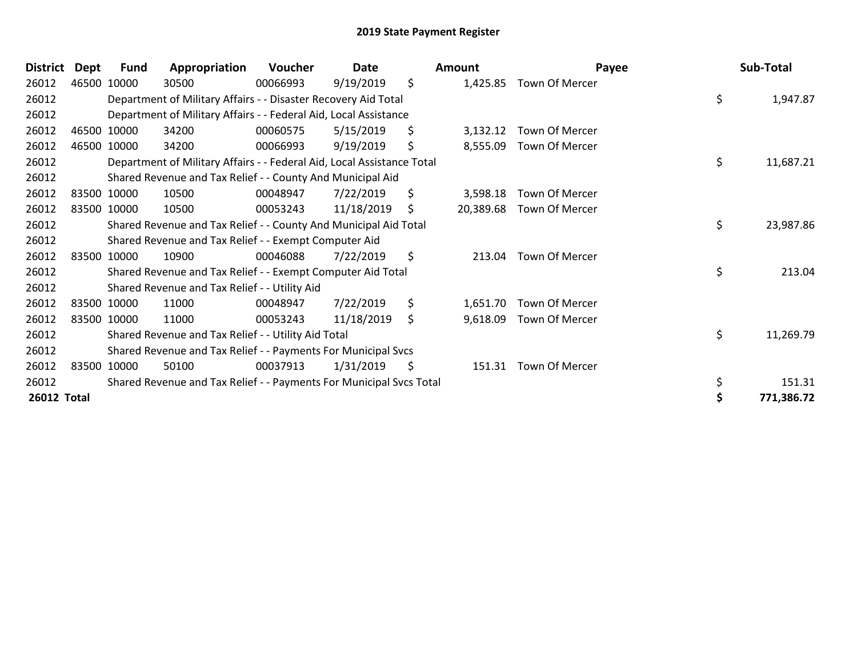| <b>District</b> | Dept | <b>Fund</b> | Appropriation                                                          | Voucher  | Date       | <b>Amount</b>   | Payee          | Sub-Total       |
|-----------------|------|-------------|------------------------------------------------------------------------|----------|------------|-----------------|----------------|-----------------|
| 26012           |      | 46500 10000 | 30500                                                                  | 00066993 | 9/19/2019  | \$<br>1,425.85  | Town Of Mercer |                 |
| 26012           |      |             | Department of Military Affairs - - Disaster Recovery Aid Total         |          |            |                 |                | \$<br>1,947.87  |
| 26012           |      |             | Department of Military Affairs - - Federal Aid, Local Assistance       |          |            |                 |                |                 |
| 26012           |      | 46500 10000 | 34200                                                                  | 00060575 | 5/15/2019  | \$<br>3,132.12  | Town Of Mercer |                 |
| 26012           |      | 46500 10000 | 34200                                                                  | 00066993 | 9/19/2019  | \$<br>8,555.09  | Town Of Mercer |                 |
| 26012           |      |             | Department of Military Affairs - - Federal Aid, Local Assistance Total |          |            |                 |                | \$<br>11,687.21 |
| 26012           |      |             | Shared Revenue and Tax Relief - - County And Municipal Aid             |          |            |                 |                |                 |
| 26012           |      | 83500 10000 | 10500                                                                  | 00048947 | 7/22/2019  | \$<br>3,598.18  | Town Of Mercer |                 |
| 26012           |      | 83500 10000 | 10500                                                                  | 00053243 | 11/18/2019 | \$<br>20,389.68 | Town Of Mercer |                 |
| 26012           |      |             | Shared Revenue and Tax Relief - - County And Municipal Aid Total       |          |            |                 |                | \$<br>23,987.86 |
| 26012           |      |             | Shared Revenue and Tax Relief - - Exempt Computer Aid                  |          |            |                 |                |                 |
| 26012           |      | 83500 10000 | 10900                                                                  | 00046088 | 7/22/2019  | \$<br>213.04    | Town Of Mercer |                 |
| 26012           |      |             | Shared Revenue and Tax Relief - - Exempt Computer Aid Total            |          |            |                 |                | \$<br>213.04    |
| 26012           |      |             | Shared Revenue and Tax Relief - - Utility Aid                          |          |            |                 |                |                 |
| 26012           |      | 83500 10000 | 11000                                                                  | 00048947 | 7/22/2019  | \$<br>1,651.70  | Town Of Mercer |                 |
| 26012           |      | 83500 10000 | 11000                                                                  | 00053243 | 11/18/2019 | \$<br>9,618.09  | Town Of Mercer |                 |
| 26012           |      |             | Shared Revenue and Tax Relief - - Utility Aid Total                    |          |            |                 |                | \$<br>11,269.79 |
| 26012           |      |             | Shared Revenue and Tax Relief - - Payments For Municipal Svcs          |          |            |                 |                |                 |
| 26012           |      | 83500 10000 | 50100                                                                  | 00037913 | 1/31/2019  | \$<br>151.31    | Town Of Mercer |                 |
| 26012           |      |             | Shared Revenue and Tax Relief - - Payments For Municipal Svcs Total    |          |            |                 |                | \$<br>151.31    |
| 26012 Total     |      |             |                                                                        |          |            |                 |                | 771,386.72      |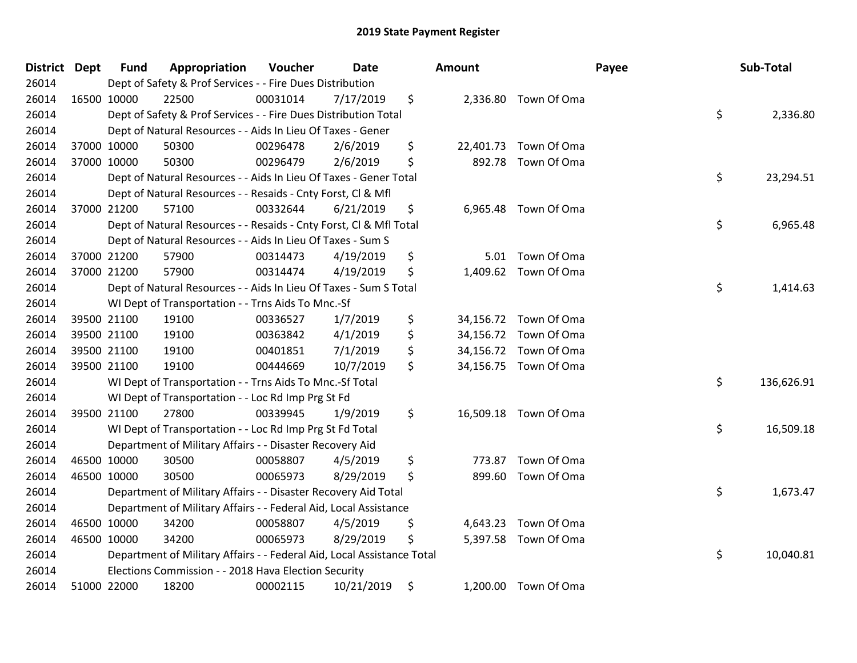| District Dept | <b>Fund</b> | Appropriation                                                          | Voucher  | <b>Date</b> | <b>Amount</b> |                       | Payee | Sub-Total  |
|---------------|-------------|------------------------------------------------------------------------|----------|-------------|---------------|-----------------------|-------|------------|
| 26014         |             | Dept of Safety & Prof Services - - Fire Dues Distribution              |          |             |               |                       |       |            |
| 26014         | 16500 10000 | 22500                                                                  | 00031014 | 7/17/2019   | \$            | 2,336.80 Town Of Oma  |       |            |
| 26014         |             | Dept of Safety & Prof Services - - Fire Dues Distribution Total        |          |             |               |                       | \$    | 2,336.80   |
| 26014         |             | Dept of Natural Resources - - Aids In Lieu Of Taxes - Gener            |          |             |               |                       |       |            |
| 26014         | 37000 10000 | 50300                                                                  | 00296478 | 2/6/2019    | \$            | 22,401.73 Town Of Oma |       |            |
| 26014         | 37000 10000 | 50300                                                                  | 00296479 | 2/6/2019    | \$            | 892.78 Town Of Oma    |       |            |
| 26014         |             | Dept of Natural Resources - - Aids In Lieu Of Taxes - Gener Total      |          |             |               |                       | \$    | 23,294.51  |
| 26014         |             | Dept of Natural Resources - - Resaids - Cnty Forst, Cl & Mfl           |          |             |               |                       |       |            |
| 26014         | 37000 21200 | 57100                                                                  | 00332644 | 6/21/2019   | \$            | 6,965.48 Town Of Oma  |       |            |
| 26014         |             | Dept of Natural Resources - - Resaids - Cnty Forst, Cl & Mfl Total     |          |             |               |                       | \$    | 6,965.48   |
| 26014         |             | Dept of Natural Resources - - Aids In Lieu Of Taxes - Sum S            |          |             |               |                       |       |            |
| 26014         | 37000 21200 | 57900                                                                  | 00314473 | 4/19/2019   | \$            | 5.01 Town Of Oma      |       |            |
| 26014         | 37000 21200 | 57900                                                                  | 00314474 | 4/19/2019   | \$            | 1,409.62 Town Of Oma  |       |            |
| 26014         |             | Dept of Natural Resources - - Aids In Lieu Of Taxes - Sum S Total      |          |             |               |                       | \$    | 1,414.63   |
| 26014         |             | WI Dept of Transportation - - Trns Aids To Mnc.-Sf                     |          |             |               |                       |       |            |
| 26014         | 39500 21100 | 19100                                                                  | 00336527 | 1/7/2019    | \$            | 34,156.72 Town Of Oma |       |            |
| 26014         | 39500 21100 | 19100                                                                  | 00363842 | 4/1/2019    | \$            | 34,156.72 Town Of Oma |       |            |
| 26014         | 39500 21100 | 19100                                                                  | 00401851 | 7/1/2019    | \$            | 34,156.72 Town Of Oma |       |            |
| 26014         | 39500 21100 | 19100                                                                  | 00444669 | 10/7/2019   | \$            | 34,156.75 Town Of Oma |       |            |
| 26014         |             | WI Dept of Transportation - - Trns Aids To Mnc.-Sf Total               |          |             |               |                       | \$    | 136,626.91 |
| 26014         |             | WI Dept of Transportation - - Loc Rd Imp Prg St Fd                     |          |             |               |                       |       |            |
| 26014         | 39500 21100 | 27800                                                                  | 00339945 | 1/9/2019    | \$            | 16,509.18 Town Of Oma |       |            |
| 26014         |             | WI Dept of Transportation - - Loc Rd Imp Prg St Fd Total               |          |             |               |                       | \$    | 16,509.18  |
| 26014         |             | Department of Military Affairs - - Disaster Recovery Aid               |          |             |               |                       |       |            |
| 26014         | 46500 10000 | 30500                                                                  | 00058807 | 4/5/2019    | \$<br>773.87  | Town Of Oma           |       |            |
| 26014         | 46500 10000 | 30500                                                                  | 00065973 | 8/29/2019   | \$            | 899.60 Town Of Oma    |       |            |
| 26014         |             | Department of Military Affairs - - Disaster Recovery Aid Total         |          |             |               |                       | \$    | 1,673.47   |
| 26014         |             | Department of Military Affairs - - Federal Aid, Local Assistance       |          |             |               |                       |       |            |
| 26014         | 46500 10000 | 34200                                                                  | 00058807 | 4/5/2019    | \$            | 4,643.23 Town Of Oma  |       |            |
| 26014         | 46500 10000 | 34200                                                                  | 00065973 | 8/29/2019   | \$            | 5,397.58 Town Of Oma  |       |            |
| 26014         |             | Department of Military Affairs - - Federal Aid, Local Assistance Total |          |             |               |                       | \$    | 10,040.81  |
| 26014         |             | Elections Commission - - 2018 Hava Election Security                   |          |             |               |                       |       |            |
| 26014         | 51000 22000 | 18200                                                                  | 00002115 | 10/21/2019  | \$            | 1,200.00 Town Of Oma  |       |            |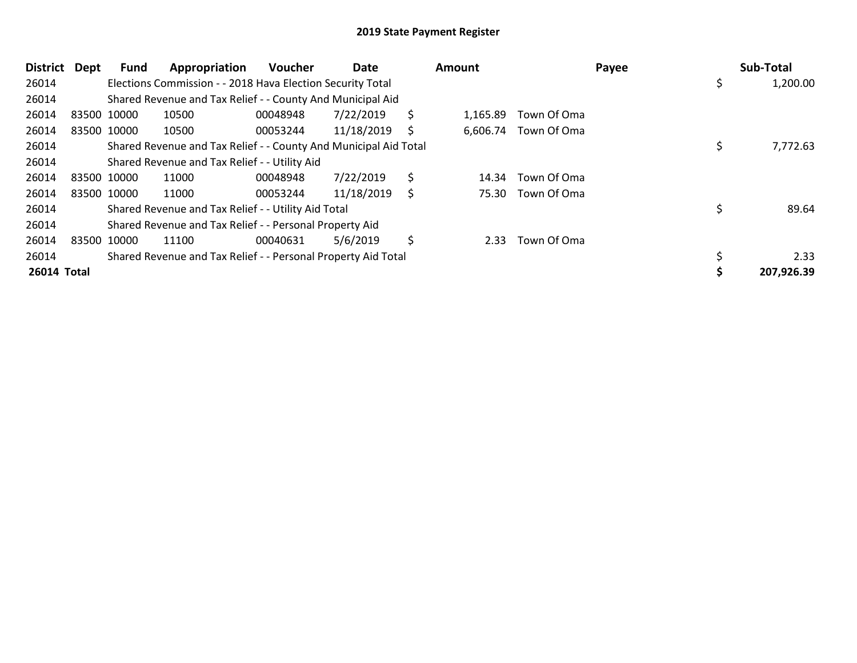| <b>District</b> | Dept | Fund        | Appropriation                                                    | <b>Voucher</b> | Date       |     | <b>Amount</b> |                      | Payee | Sub-Total      |
|-----------------|------|-------------|------------------------------------------------------------------|----------------|------------|-----|---------------|----------------------|-------|----------------|
| 26014           |      |             | Elections Commission - - 2018 Hava Election Security Total       |                |            |     |               |                      |       | \$<br>1,200.00 |
| 26014           |      |             | Shared Revenue and Tax Relief - - County And Municipal Aid       |                |            |     |               |                      |       |                |
| 26014           |      | 83500 10000 | 10500                                                            | 00048948       | 7/22/2019  | \$. | 1,165.89      | Town Of Oma          |       |                |
| 26014           |      | 83500 10000 | 10500                                                            | 00053244       | 11/18/2019 | S   |               | 6,606.74 Town Of Oma |       |                |
| 26014           |      |             | Shared Revenue and Tax Relief - - County And Municipal Aid Total |                |            |     |               |                      |       | 7,772.63       |
| 26014           |      |             | Shared Revenue and Tax Relief - - Utility Aid                    |                |            |     |               |                      |       |                |
| 26014           |      | 83500 10000 | 11000                                                            | 00048948       | 7/22/2019  | \$  | 14.34         | Town Of Oma          |       |                |
| 26014           |      | 83500 10000 | 11000                                                            | 00053244       | 11/18/2019 | S   |               | 75.30 Town Of Oma    |       |                |
| 26014           |      |             | Shared Revenue and Tax Relief - - Utility Aid Total              |                |            |     |               |                      |       | 89.64          |
| 26014           |      |             | Shared Revenue and Tax Relief - - Personal Property Aid          |                |            |     |               |                      |       |                |
| 26014           |      | 83500 10000 | 11100                                                            | 00040631       | 5/6/2019   | \$  | 2.33          | Town Of Oma          |       |                |
| 26014           |      |             | Shared Revenue and Tax Relief - - Personal Property Aid Total    |                |            |     |               |                      |       | 2.33           |
| 26014 Total     |      |             |                                                                  |                |            |     |               |                      |       | 207,926.39     |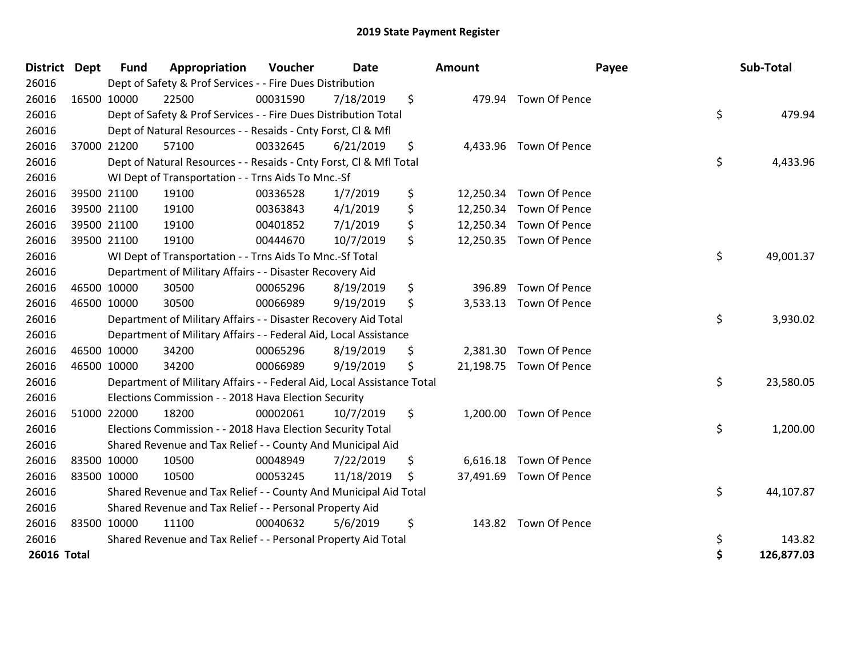| <b>District</b> | <b>Dept</b> | <b>Fund</b> | Appropriation                                                          | Voucher  | Date       |     | Amount    | Payee                   | Sub-Total        |
|-----------------|-------------|-------------|------------------------------------------------------------------------|----------|------------|-----|-----------|-------------------------|------------------|
| 26016           |             |             | Dept of Safety & Prof Services - - Fire Dues Distribution              |          |            |     |           |                         |                  |
| 26016           | 16500 10000 |             | 22500                                                                  | 00031590 | 7/18/2019  | \$  |           | 479.94 Town Of Pence    |                  |
| 26016           |             |             | Dept of Safety & Prof Services - - Fire Dues Distribution Total        |          |            |     |           |                         | \$<br>479.94     |
| 26016           |             |             | Dept of Natural Resources - - Resaids - Cnty Forst, Cl & Mfl           |          |            |     |           |                         |                  |
| 26016           |             | 37000 21200 | 57100                                                                  | 00332645 | 6/21/2019  | \$  |           | 4,433.96 Town Of Pence  |                  |
| 26016           |             |             | Dept of Natural Resources - - Resaids - Cnty Forst, Cl & Mfl Total     |          |            |     |           |                         | \$<br>4,433.96   |
| 26016           |             |             | WI Dept of Transportation - - Trns Aids To Mnc.-Sf                     |          |            |     |           |                         |                  |
| 26016           |             | 39500 21100 | 19100                                                                  | 00336528 | 1/7/2019   | \$  |           | 12,250.34 Town Of Pence |                  |
| 26016           |             | 39500 21100 | 19100                                                                  | 00363843 | 4/1/2019   | \$  | 12,250.34 | Town Of Pence           |                  |
| 26016           |             | 39500 21100 | 19100                                                                  | 00401852 | 7/1/2019   | \$  |           | 12,250.34 Town Of Pence |                  |
| 26016           | 39500 21100 |             | 19100                                                                  | 00444670 | 10/7/2019  | \$  |           | 12,250.35 Town Of Pence |                  |
| 26016           |             |             | WI Dept of Transportation - - Trns Aids To Mnc.-Sf Total               |          |            |     |           |                         | \$<br>49,001.37  |
| 26016           |             |             | Department of Military Affairs - - Disaster Recovery Aid               |          |            |     |           |                         |                  |
| 26016           | 46500 10000 |             | 30500                                                                  | 00065296 | 8/19/2019  | \$  | 396.89    | Town Of Pence           |                  |
| 26016           | 46500 10000 |             | 30500                                                                  | 00066989 | 9/19/2019  | \$  | 3,533.13  | Town Of Pence           |                  |
| 26016           |             |             | Department of Military Affairs - - Disaster Recovery Aid Total         |          |            |     |           |                         | \$<br>3,930.02   |
| 26016           |             |             | Department of Military Affairs - - Federal Aid, Local Assistance       |          |            |     |           |                         |                  |
| 26016           | 46500 10000 |             | 34200                                                                  | 00065296 | 8/19/2019  | \$  |           | 2,381.30 Town Of Pence  |                  |
| 26016           | 46500 10000 |             | 34200                                                                  | 00066989 | 9/19/2019  | \$  |           | 21,198.75 Town Of Pence |                  |
| 26016           |             |             | Department of Military Affairs - - Federal Aid, Local Assistance Total |          |            |     |           |                         | \$<br>23,580.05  |
| 26016           |             |             | Elections Commission - - 2018 Hava Election Security                   |          |            |     |           |                         |                  |
| 26016           | 51000 22000 |             | 18200                                                                  | 00002061 | 10/7/2019  | \$  | 1,200.00  | Town Of Pence           |                  |
| 26016           |             |             | Elections Commission - - 2018 Hava Election Security Total             |          |            |     |           |                         | \$<br>1,200.00   |
| 26016           |             |             | Shared Revenue and Tax Relief - - County And Municipal Aid             |          |            |     |           |                         |                  |
| 26016           | 83500 10000 |             | 10500                                                                  | 00048949 | 7/22/2019  | \$  | 6,616.18  | Town Of Pence           |                  |
| 26016           | 83500 10000 |             | 10500                                                                  | 00053245 | 11/18/2019 | \$. |           | 37,491.69 Town Of Pence |                  |
| 26016           |             |             | Shared Revenue and Tax Relief - - County And Municipal Aid Total       |          |            |     |           |                         | \$<br>44,107.87  |
| 26016           |             |             | Shared Revenue and Tax Relief - - Personal Property Aid                |          |            |     |           |                         |                  |
| 26016           | 83500 10000 |             | 11100                                                                  | 00040632 | 5/6/2019   | \$  |           | 143.82 Town Of Pence    |                  |
| 26016           |             |             | Shared Revenue and Tax Relief - - Personal Property Aid Total          |          |            |     |           |                         | \$<br>143.82     |
| 26016 Total     |             |             |                                                                        |          |            |     |           |                         | \$<br>126,877.03 |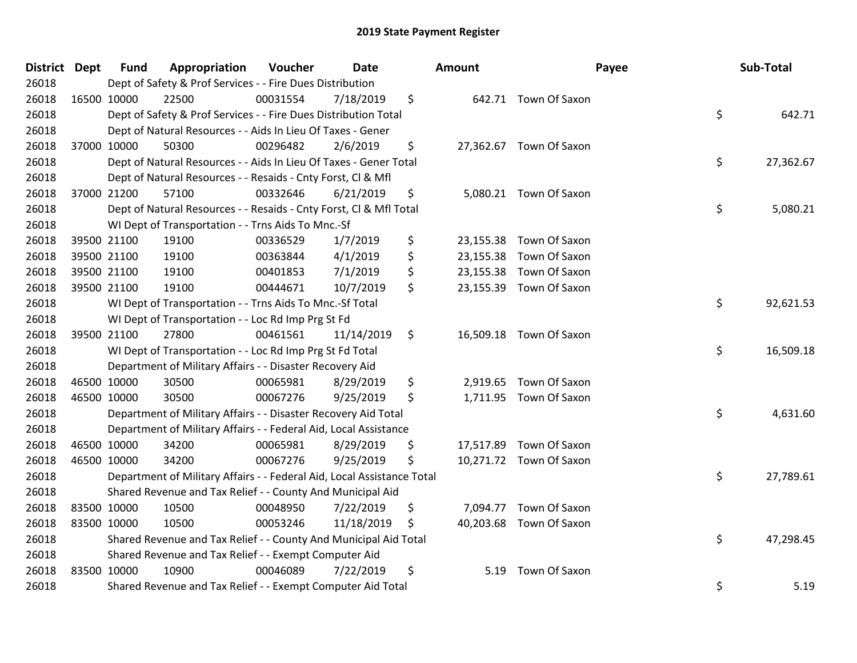| District Dept |             | <b>Fund</b> | Appropriation                                                          | Voucher  | Date       |    | <b>Amount</b> | Payee                   |    | Sub-Total |  |  |
|---------------|-------------|-------------|------------------------------------------------------------------------|----------|------------|----|---------------|-------------------------|----|-----------|--|--|
| 26018         |             |             | Dept of Safety & Prof Services - - Fire Dues Distribution              |          |            |    |               |                         |    |           |  |  |
| 26018         | 16500 10000 |             | 22500                                                                  | 00031554 | 7/18/2019  | \$ |               | 642.71 Town Of Saxon    |    |           |  |  |
| 26018         |             |             | Dept of Safety & Prof Services - - Fire Dues Distribution Total        |          |            |    |               |                         | \$ | 642.71    |  |  |
| 26018         |             |             | Dept of Natural Resources - - Aids In Lieu Of Taxes - Gener            |          |            |    |               |                         |    |           |  |  |
| 26018         | 37000 10000 |             | 50300                                                                  | 00296482 | 2/6/2019   | \$ |               | 27,362.67 Town Of Saxon |    |           |  |  |
| 26018         |             |             | Dept of Natural Resources - - Aids In Lieu Of Taxes - Gener Total      |          |            |    |               |                         | \$ | 27,362.67 |  |  |
| 26018         |             |             | Dept of Natural Resources - - Resaids - Cnty Forst, Cl & Mfl           |          |            |    |               |                         |    |           |  |  |
| 26018         |             | 37000 21200 | 57100                                                                  | 00332646 | 6/21/2019  | \$ |               | 5,080.21 Town Of Saxon  |    |           |  |  |
| 26018         |             |             | Dept of Natural Resources - - Resaids - Cnty Forst, Cl & Mfl Total     |          |            |    |               |                         | \$ | 5,080.21  |  |  |
| 26018         |             |             | WI Dept of Transportation - - Trns Aids To Mnc.-Sf                     |          |            |    |               |                         |    |           |  |  |
| 26018         | 39500 21100 |             | 19100                                                                  | 00336529 | 1/7/2019   | \$ |               | 23,155.38 Town Of Saxon |    |           |  |  |
| 26018         |             | 39500 21100 | 19100                                                                  | 00363844 | 4/1/2019   | \$ |               | 23,155.38 Town Of Saxon |    |           |  |  |
| 26018         | 39500 21100 |             | 19100                                                                  | 00401853 | 7/1/2019   | \$ |               | 23,155.38 Town Of Saxon |    |           |  |  |
| 26018         | 39500 21100 |             | 19100                                                                  | 00444671 | 10/7/2019  | \$ |               | 23,155.39 Town Of Saxon |    |           |  |  |
| 26018         |             |             | WI Dept of Transportation - - Trns Aids To Mnc.-Sf Total               |          |            |    |               |                         | \$ | 92,621.53 |  |  |
| 26018         |             |             | WI Dept of Transportation - - Loc Rd Imp Prg St Fd                     |          |            |    |               |                         |    |           |  |  |
| 26018         | 39500 21100 |             | 27800                                                                  | 00461561 | 11/14/2019 | \$ |               | 16,509.18 Town Of Saxon |    |           |  |  |
| 26018         |             |             | WI Dept of Transportation - - Loc Rd Imp Prg St Fd Total               |          |            |    |               |                         | \$ | 16,509.18 |  |  |
| 26018         |             |             | Department of Military Affairs - - Disaster Recovery Aid               |          |            |    |               |                         |    |           |  |  |
| 26018         | 46500 10000 |             | 30500                                                                  | 00065981 | 8/29/2019  | \$ |               | 2,919.65 Town Of Saxon  |    |           |  |  |
| 26018         | 46500 10000 |             | 30500                                                                  | 00067276 | 9/25/2019  | \$ |               | 1,711.95 Town Of Saxon  |    |           |  |  |
| 26018         |             |             | Department of Military Affairs - - Disaster Recovery Aid Total         |          |            |    |               |                         | \$ | 4,631.60  |  |  |
| 26018         |             |             | Department of Military Affairs - - Federal Aid, Local Assistance       |          |            |    |               |                         |    |           |  |  |
| 26018         |             | 46500 10000 | 34200                                                                  | 00065981 | 8/29/2019  | \$ |               | 17,517.89 Town Of Saxon |    |           |  |  |
| 26018         | 46500 10000 |             | 34200                                                                  | 00067276 | 9/25/2019  | \$ |               | 10,271.72 Town Of Saxon |    |           |  |  |
| 26018         |             |             | Department of Military Affairs - - Federal Aid, Local Assistance Total |          |            |    |               |                         | \$ | 27,789.61 |  |  |
| 26018         |             |             | Shared Revenue and Tax Relief - - County And Municipal Aid             |          |            |    |               |                         |    |           |  |  |
| 26018         | 83500 10000 |             | 10500                                                                  | 00048950 | 7/22/2019  | \$ |               | 7,094.77 Town Of Saxon  |    |           |  |  |
| 26018         | 83500 10000 |             | 10500                                                                  | 00053246 | 11/18/2019 | \$ |               | 40,203.68 Town Of Saxon |    |           |  |  |
| 26018         |             |             | Shared Revenue and Tax Relief - - County And Municipal Aid Total       |          |            |    |               |                         | \$ | 47,298.45 |  |  |
| 26018         |             |             | Shared Revenue and Tax Relief - - Exempt Computer Aid                  |          |            |    |               |                         |    |           |  |  |
| 26018         | 83500 10000 |             | 10900                                                                  | 00046089 | 7/22/2019  | \$ | 5.19          | Town Of Saxon           |    |           |  |  |
| 26018         |             |             | Shared Revenue and Tax Relief - - Exempt Computer Aid Total            |          |            |    |               |                         | \$ | 5.19      |  |  |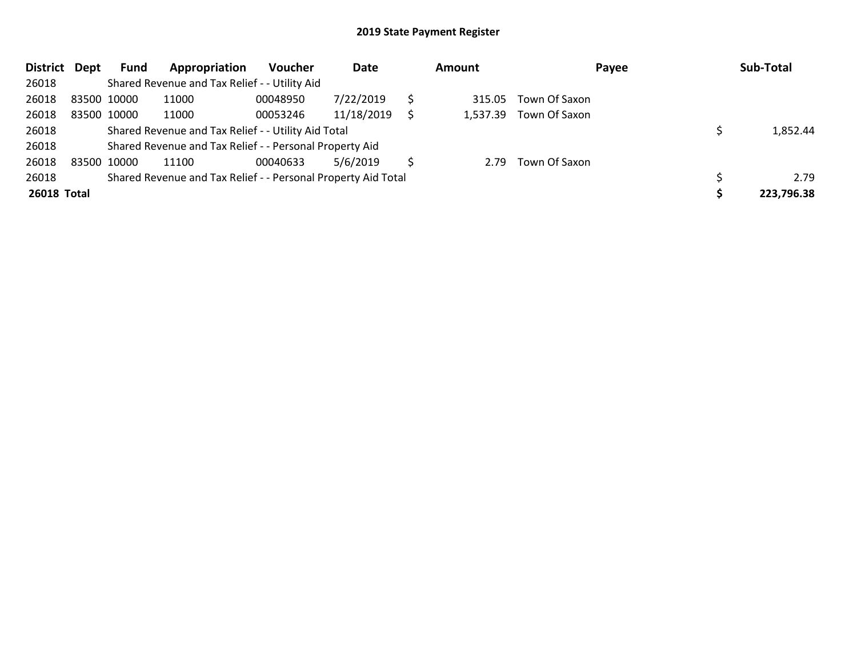| District Dept | Fund        | Appropriation                                                 | <b>Voucher</b> | Date       |   | <b>Amount</b> | Payee         | Sub-Total  |
|---------------|-------------|---------------------------------------------------------------|----------------|------------|---|---------------|---------------|------------|
| 26018         |             | Shared Revenue and Tax Relief - - Utility Aid                 |                |            |   |               |               |            |
| 26018         | 83500 10000 | 11000                                                         | 00048950       | 7/22/2019  |   | 315.05        | Town Of Saxon |            |
| 26018         | 83500 10000 | 11000                                                         | 00053246       | 11/18/2019 | S | 1,537.39      | Town Of Saxon |            |
| 26018         |             | Shared Revenue and Tax Relief - - Utility Aid Total           |                |            |   |               |               | 1,852.44   |
| 26018         |             | Shared Revenue and Tax Relief - - Personal Property Aid       |                |            |   |               |               |            |
| 26018         | 83500 10000 | 11100                                                         | 00040633       | 5/6/2019   |   | 2.79          | Town Of Saxon |            |
| 26018         |             | Shared Revenue and Tax Relief - - Personal Property Aid Total |                |            |   |               |               | 2.79       |
| 26018 Total   |             |                                                               |                |            |   |               |               | 223,796.38 |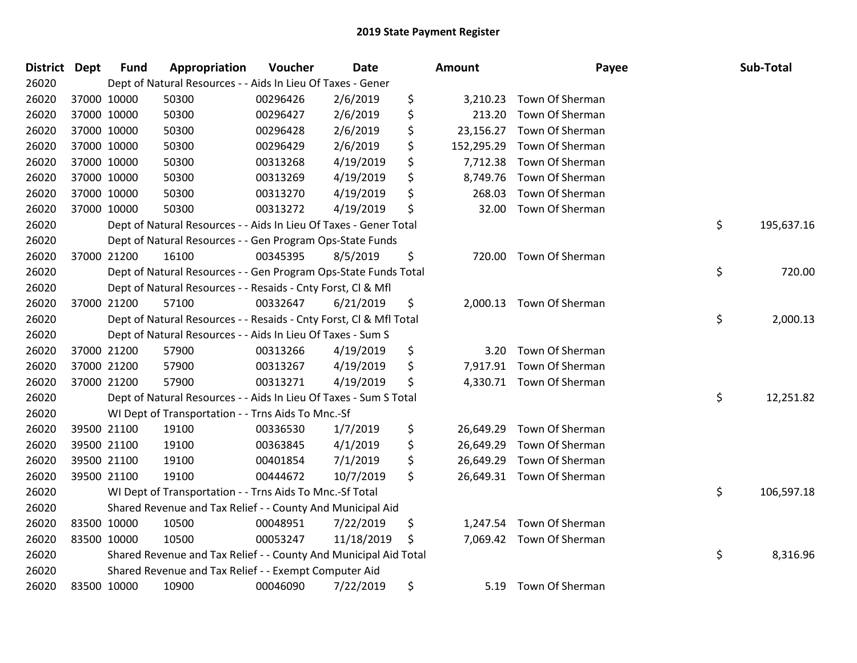| <b>District</b> | <b>Dept</b> | <b>Fund</b> | Appropriation                                                      | Voucher  | Date       | <b>Amount</b>    | Payee           | Sub-Total        |
|-----------------|-------------|-------------|--------------------------------------------------------------------|----------|------------|------------------|-----------------|------------------|
| 26020           |             |             | Dept of Natural Resources - - Aids In Lieu Of Taxes - Gener        |          |            |                  |                 |                  |
| 26020           |             | 37000 10000 | 50300                                                              | 00296426 | 2/6/2019   | \$<br>3,210.23   | Town Of Sherman |                  |
| 26020           |             | 37000 10000 | 50300                                                              | 00296427 | 2/6/2019   | \$<br>213.20     | Town Of Sherman |                  |
| 26020           |             | 37000 10000 | 50300                                                              | 00296428 | 2/6/2019   | \$<br>23,156.27  | Town Of Sherman |                  |
| 26020           |             | 37000 10000 | 50300                                                              | 00296429 | 2/6/2019   | \$<br>152,295.29 | Town Of Sherman |                  |
| 26020           |             | 37000 10000 | 50300                                                              | 00313268 | 4/19/2019  | \$<br>7,712.38   | Town Of Sherman |                  |
| 26020           |             | 37000 10000 | 50300                                                              | 00313269 | 4/19/2019  | \$<br>8,749.76   | Town Of Sherman |                  |
| 26020           |             | 37000 10000 | 50300                                                              | 00313270 | 4/19/2019  | \$<br>268.03     | Town Of Sherman |                  |
| 26020           |             | 37000 10000 | 50300                                                              | 00313272 | 4/19/2019  | \$<br>32.00      | Town Of Sherman |                  |
| 26020           |             |             | Dept of Natural Resources - - Aids In Lieu Of Taxes - Gener Total  |          |            |                  |                 | \$<br>195,637.16 |
| 26020           |             |             | Dept of Natural Resources - - Gen Program Ops-State Funds          |          |            |                  |                 |                  |
| 26020           |             | 37000 21200 | 16100                                                              | 00345395 | 8/5/2019   | \$<br>720.00     | Town Of Sherman |                  |
| 26020           |             |             | Dept of Natural Resources - - Gen Program Ops-State Funds Total    |          |            |                  |                 | \$<br>720.00     |
| 26020           |             |             | Dept of Natural Resources - - Resaids - Cnty Forst, CI & Mfl       |          |            |                  |                 |                  |
| 26020           |             | 37000 21200 | 57100                                                              | 00332647 | 6/21/2019  | \$<br>2,000.13   | Town Of Sherman |                  |
| 26020           |             |             | Dept of Natural Resources - - Resaids - Cnty Forst, Cl & Mfl Total |          |            |                  |                 | \$<br>2,000.13   |
| 26020           |             |             | Dept of Natural Resources - - Aids In Lieu Of Taxes - Sum S        |          |            |                  |                 |                  |
| 26020           |             | 37000 21200 | 57900                                                              | 00313266 | 4/19/2019  | \$<br>3.20       | Town Of Sherman |                  |
| 26020           |             | 37000 21200 | 57900                                                              | 00313267 | 4/19/2019  | \$<br>7,917.91   | Town Of Sherman |                  |
| 26020           |             | 37000 21200 | 57900                                                              | 00313271 | 4/19/2019  | \$<br>4,330.71   | Town Of Sherman |                  |
| 26020           |             |             | Dept of Natural Resources - - Aids In Lieu Of Taxes - Sum S Total  |          |            |                  |                 | \$<br>12,251.82  |
| 26020           |             |             | WI Dept of Transportation - - Trns Aids To Mnc.-Sf                 |          |            |                  |                 |                  |
| 26020           |             | 39500 21100 | 19100                                                              | 00336530 | 1/7/2019   | \$<br>26,649.29  | Town Of Sherman |                  |
| 26020           |             | 39500 21100 | 19100                                                              | 00363845 | 4/1/2019   | \$<br>26,649.29  | Town Of Sherman |                  |
| 26020           |             | 39500 21100 | 19100                                                              | 00401854 | 7/1/2019   | \$<br>26,649.29  | Town Of Sherman |                  |
| 26020           |             | 39500 21100 | 19100                                                              | 00444672 | 10/7/2019  | \$<br>26,649.31  | Town Of Sherman |                  |
| 26020           |             |             | WI Dept of Transportation - - Trns Aids To Mnc .- Sf Total         |          |            |                  |                 | \$<br>106,597.18 |
| 26020           |             |             | Shared Revenue and Tax Relief - - County And Municipal Aid         |          |            |                  |                 |                  |
| 26020           |             | 83500 10000 | 10500                                                              | 00048951 | 7/22/2019  | \$<br>1,247.54   | Town Of Sherman |                  |
| 26020           |             | 83500 10000 | 10500                                                              | 00053247 | 11/18/2019 | \$<br>7,069.42   | Town Of Sherman |                  |
| 26020           |             |             | Shared Revenue and Tax Relief - - County And Municipal Aid Total   |          |            |                  |                 | \$<br>8,316.96   |
| 26020           |             |             | Shared Revenue and Tax Relief - - Exempt Computer Aid              |          |            |                  |                 |                  |
| 26020           |             | 83500 10000 | 10900                                                              | 00046090 | 7/22/2019  | \$<br>5.19       | Town Of Sherman |                  |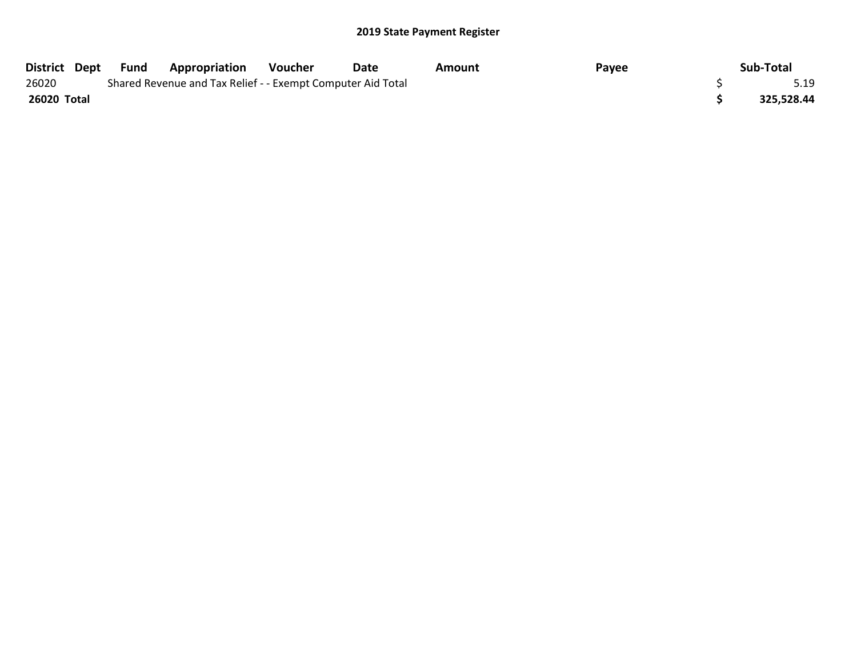| District Dept | Fund | <b>Appropriation</b>                                        | Voucher | Date | Amount | Payee | Sub-Total  |
|---------------|------|-------------------------------------------------------------|---------|------|--------|-------|------------|
| 26020         |      | Shared Revenue and Tax Relief - - Exempt Computer Aid Total |         |      |        |       | 5.19       |
| 26020 Total   |      |                                                             |         |      |        |       | 325,528.44 |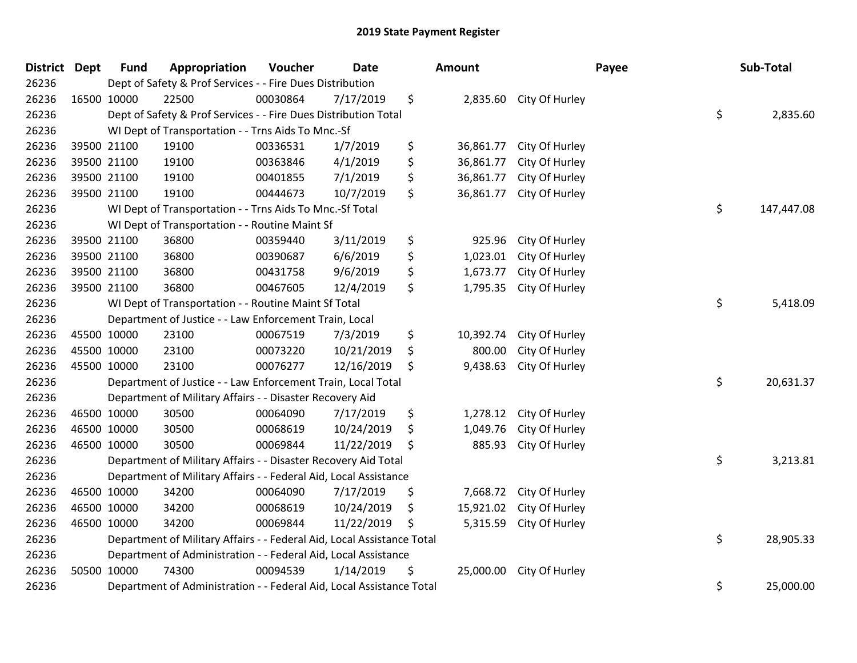| <b>District Dept</b> |             | <b>Fund</b> | Appropriation                                                          | Voucher  | <b>Date</b> | <b>Amount</b>   |                | Payee | Sub-Total  |
|----------------------|-------------|-------------|------------------------------------------------------------------------|----------|-------------|-----------------|----------------|-------|------------|
| 26236                |             |             | Dept of Safety & Prof Services - - Fire Dues Distribution              |          |             |                 |                |       |            |
| 26236                |             | 16500 10000 | 22500                                                                  | 00030864 | 7/17/2019   | \$<br>2,835.60  | City Of Hurley |       |            |
| 26236                |             |             | Dept of Safety & Prof Services - - Fire Dues Distribution Total        |          |             |                 |                | \$    | 2,835.60   |
| 26236                |             |             | WI Dept of Transportation - - Trns Aids To Mnc.-Sf                     |          |             |                 |                |       |            |
| 26236                |             | 39500 21100 | 19100                                                                  | 00336531 | 1/7/2019    | \$<br>36,861.77 | City Of Hurley |       |            |
| 26236                |             | 39500 21100 | 19100                                                                  | 00363846 | 4/1/2019    | \$<br>36,861.77 | City Of Hurley |       |            |
| 26236                |             | 39500 21100 | 19100                                                                  | 00401855 | 7/1/2019    | \$<br>36,861.77 | City Of Hurley |       |            |
| 26236                |             | 39500 21100 | 19100                                                                  | 00444673 | 10/7/2019   | \$<br>36,861.77 | City Of Hurley |       |            |
| 26236                |             |             | WI Dept of Transportation - - Trns Aids To Mnc.-Sf Total               |          |             |                 |                | \$    | 147,447.08 |
| 26236                |             |             | WI Dept of Transportation - - Routine Maint Sf                         |          |             |                 |                |       |            |
| 26236                |             | 39500 21100 | 36800                                                                  | 00359440 | 3/11/2019   | \$<br>925.96    | City Of Hurley |       |            |
| 26236                |             | 39500 21100 | 36800                                                                  | 00390687 | 6/6/2019    | \$<br>1,023.01  | City Of Hurley |       |            |
| 26236                |             | 39500 21100 | 36800                                                                  | 00431758 | 9/6/2019    | \$<br>1,673.77  | City Of Hurley |       |            |
| 26236                |             | 39500 21100 | 36800                                                                  | 00467605 | 12/4/2019   | \$<br>1,795.35  | City Of Hurley |       |            |
| 26236                |             |             | WI Dept of Transportation - - Routine Maint Sf Total                   |          |             |                 |                | \$    | 5,418.09   |
| 26236                |             |             | Department of Justice - - Law Enforcement Train, Local                 |          |             |                 |                |       |            |
| 26236                |             | 45500 10000 | 23100                                                                  | 00067519 | 7/3/2019    | \$<br>10,392.74 | City Of Hurley |       |            |
| 26236                | 45500 10000 |             | 23100                                                                  | 00073220 | 10/21/2019  | \$<br>800.00    | City Of Hurley |       |            |
| 26236                | 45500 10000 |             | 23100                                                                  | 00076277 | 12/16/2019  | \$<br>9,438.63  | City Of Hurley |       |            |
| 26236                |             |             | Department of Justice - - Law Enforcement Train, Local Total           |          |             |                 |                | \$    | 20,631.37  |
| 26236                |             |             | Department of Military Affairs - - Disaster Recovery Aid               |          |             |                 |                |       |            |
| 26236                |             | 46500 10000 | 30500                                                                  | 00064090 | 7/17/2019   | \$<br>1,278.12  | City Of Hurley |       |            |
| 26236                |             | 46500 10000 | 30500                                                                  | 00068619 | 10/24/2019  | \$<br>1,049.76  | City Of Hurley |       |            |
| 26236                |             | 46500 10000 | 30500                                                                  | 00069844 | 11/22/2019  | \$<br>885.93    | City Of Hurley |       |            |
| 26236                |             |             | Department of Military Affairs - - Disaster Recovery Aid Total         |          |             |                 |                | \$    | 3,213.81   |
| 26236                |             |             | Department of Military Affairs - - Federal Aid, Local Assistance       |          |             |                 |                |       |            |
| 26236                |             | 46500 10000 | 34200                                                                  | 00064090 | 7/17/2019   | \$<br>7,668.72  | City Of Hurley |       |            |
| 26236                |             | 46500 10000 | 34200                                                                  | 00068619 | 10/24/2019  | \$<br>15,921.02 | City Of Hurley |       |            |
| 26236                |             | 46500 10000 | 34200                                                                  | 00069844 | 11/22/2019  | \$<br>5,315.59  | City Of Hurley |       |            |
| 26236                |             |             | Department of Military Affairs - - Federal Aid, Local Assistance Total |          |             |                 |                | \$    | 28,905.33  |
| 26236                |             |             | Department of Administration - - Federal Aid, Local Assistance         |          |             |                 |                |       |            |
| 26236                |             | 50500 10000 | 74300                                                                  | 00094539 | 1/14/2019   | \$<br>25,000.00 | City Of Hurley |       |            |
| 26236                |             |             | Department of Administration - - Federal Aid, Local Assistance Total   |          |             |                 |                | \$    | 25,000.00  |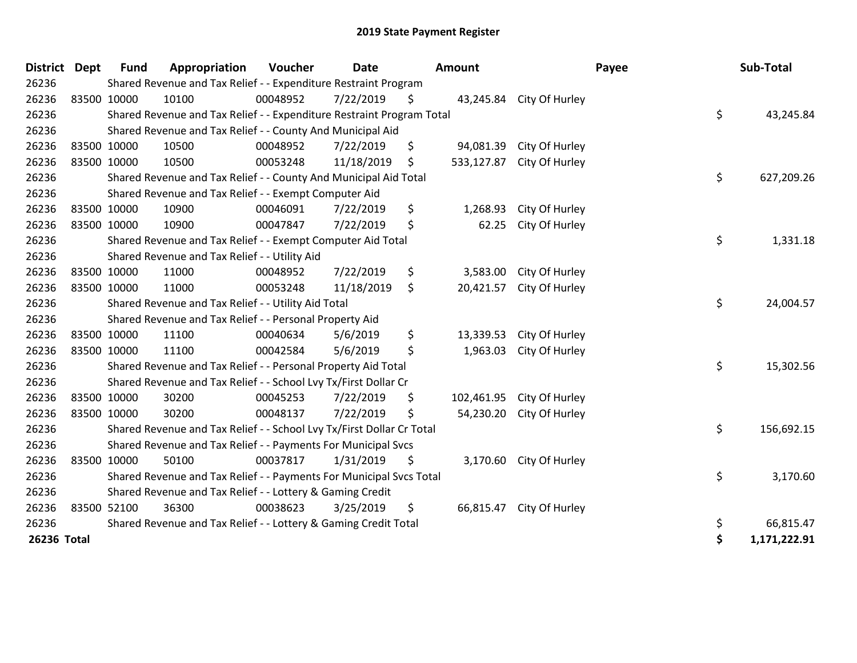| <b>District</b> | <b>Dept</b> | <b>Fund</b> | Appropriation                                                         | Voucher  | <b>Date</b> |    | <b>Amount</b> |                           | Payee | Sub-Total    |  |
|-----------------|-------------|-------------|-----------------------------------------------------------------------|----------|-------------|----|---------------|---------------------------|-------|--------------|--|
| 26236           |             |             | Shared Revenue and Tax Relief - - Expenditure Restraint Program       |          |             |    |               |                           |       |              |  |
| 26236           | 83500 10000 |             | 10100                                                                 | 00048952 | 7/22/2019   | \$ |               | 43,245.84 City Of Hurley  |       |              |  |
| 26236           |             |             | Shared Revenue and Tax Relief - - Expenditure Restraint Program Total |          |             |    |               |                           | \$    | 43,245.84    |  |
| 26236           |             |             | Shared Revenue and Tax Relief - - County And Municipal Aid            |          |             |    |               |                           |       |              |  |
| 26236           | 83500 10000 |             | 10500                                                                 | 00048952 | 7/22/2019   | \$ | 94,081.39     | City Of Hurley            |       |              |  |
| 26236           | 83500 10000 |             | 10500                                                                 | 00053248 | 11/18/2019  | \$ |               | 533,127.87 City Of Hurley |       |              |  |
| 26236           |             |             | Shared Revenue and Tax Relief - - County And Municipal Aid Total      |          |             |    |               |                           | \$    | 627,209.26   |  |
| 26236           |             |             | Shared Revenue and Tax Relief - - Exempt Computer Aid                 |          |             |    |               |                           |       |              |  |
| 26236           | 83500 10000 |             | 10900                                                                 | 00046091 | 7/22/2019   | \$ | 1,268.93      | City Of Hurley            |       |              |  |
| 26236           | 83500 10000 |             | 10900                                                                 | 00047847 | 7/22/2019   | \$ | 62.25         | City Of Hurley            |       |              |  |
| 26236           |             |             | Shared Revenue and Tax Relief - - Exempt Computer Aid Total           |          |             |    |               |                           | \$    | 1,331.18     |  |
| 26236           |             |             | Shared Revenue and Tax Relief - - Utility Aid                         |          |             |    |               |                           |       |              |  |
| 26236           | 83500 10000 |             | 11000                                                                 | 00048952 | 7/22/2019   | \$ | 3,583.00      | City Of Hurley            |       |              |  |
| 26236           | 83500 10000 |             | 11000                                                                 | 00053248 | 11/18/2019  | \$ | 20,421.57     | City Of Hurley            |       |              |  |
| 26236           |             |             | Shared Revenue and Tax Relief - - Utility Aid Total                   |          |             |    |               |                           | \$    | 24,004.57    |  |
| 26236           |             |             | Shared Revenue and Tax Relief - - Personal Property Aid               |          |             |    |               |                           |       |              |  |
| 26236           | 83500 10000 |             | 11100                                                                 | 00040634 | 5/6/2019    | \$ | 13,339.53     | City Of Hurley            |       |              |  |
| 26236           | 83500 10000 |             | 11100                                                                 | 00042584 | 5/6/2019    | \$ | 1,963.03      | City Of Hurley            |       |              |  |
| 26236           |             |             | Shared Revenue and Tax Relief - - Personal Property Aid Total         |          |             |    |               |                           | \$    | 15,302.56    |  |
| 26236           |             |             | Shared Revenue and Tax Relief - - School Lvy Tx/First Dollar Cr       |          |             |    |               |                           |       |              |  |
| 26236           | 83500 10000 |             | 30200                                                                 | 00045253 | 7/22/2019   | \$ |               | 102,461.95 City Of Hurley |       |              |  |
| 26236           | 83500 10000 |             | 30200                                                                 | 00048137 | 7/22/2019   | \$ | 54,230.20     | City Of Hurley            |       |              |  |
| 26236           |             |             | Shared Revenue and Tax Relief - - School Lvy Tx/First Dollar Cr Total |          |             |    |               |                           | \$    | 156,692.15   |  |
| 26236           |             |             | Shared Revenue and Tax Relief - - Payments For Municipal Svcs         |          |             |    |               |                           |       |              |  |
| 26236           | 83500 10000 |             | 50100                                                                 | 00037817 | 1/31/2019   | \$ |               | 3,170.60 City Of Hurley   |       |              |  |
| 26236           |             |             | Shared Revenue and Tax Relief - - Payments For Municipal Svcs Total   |          |             |    |               |                           | \$    | 3,170.60     |  |
| 26236           |             |             | Shared Revenue and Tax Relief - - Lottery & Gaming Credit             |          |             |    |               |                           |       |              |  |
| 26236           | 83500 52100 |             | 36300                                                                 | 00038623 | 3/25/2019   | \$ |               | 66,815.47 City Of Hurley  |       |              |  |
| 26236           |             |             | Shared Revenue and Tax Relief - - Lottery & Gaming Credit Total       |          |             |    |               |                           | \$    | 66,815.47    |  |
| 26236 Total     |             |             |                                                                       |          |             |    |               |                           | \$    | 1,171,222.91 |  |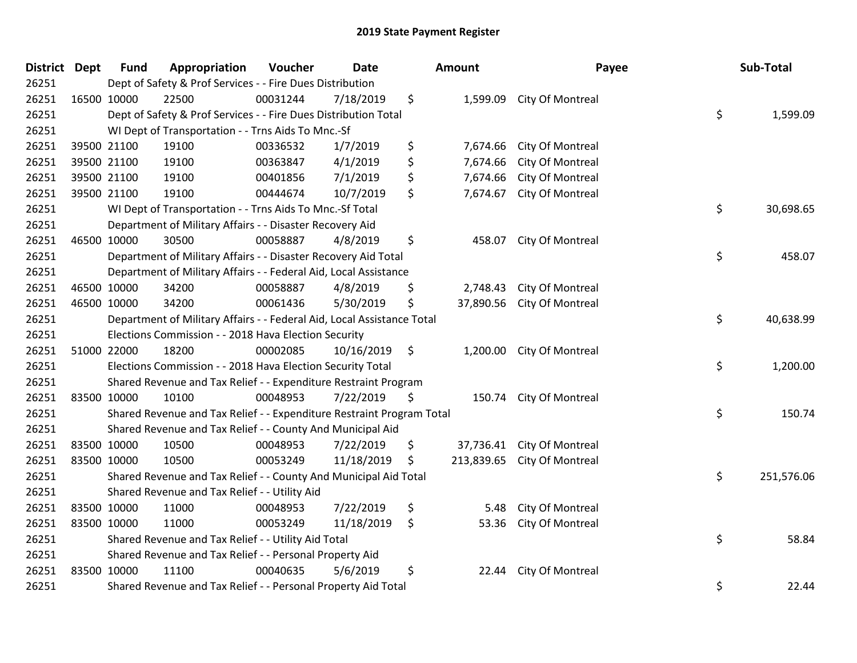| <b>District Dept</b> | <b>Fund</b> | Appropriation                                                          | Voucher  | <b>Date</b> |     | <b>Amount</b> | Payee            | Sub-Total        |
|----------------------|-------------|------------------------------------------------------------------------|----------|-------------|-----|---------------|------------------|------------------|
| 26251                |             | Dept of Safety & Prof Services - - Fire Dues Distribution              |          |             |     |               |                  |                  |
| 26251                | 16500 10000 | 22500                                                                  | 00031244 | 7/18/2019   | \$  | 1,599.09      | City Of Montreal |                  |
| 26251                |             | Dept of Safety & Prof Services - - Fire Dues Distribution Total        |          |             |     |               |                  | \$<br>1,599.09   |
| 26251                |             | WI Dept of Transportation - - Trns Aids To Mnc.-Sf                     |          |             |     |               |                  |                  |
| 26251                | 39500 21100 | 19100                                                                  | 00336532 | 1/7/2019    | \$  | 7,674.66      | City Of Montreal |                  |
| 26251                | 39500 21100 | 19100                                                                  | 00363847 | 4/1/2019    | \$  | 7,674.66      | City Of Montreal |                  |
| 26251                | 39500 21100 | 19100                                                                  | 00401856 | 7/1/2019    | \$  | 7,674.66      | City Of Montreal |                  |
| 26251                | 39500 21100 | 19100                                                                  | 00444674 | 10/7/2019   | \$  | 7,674.67      | City Of Montreal |                  |
| 26251                |             | WI Dept of Transportation - - Trns Aids To Mnc.-Sf Total               |          |             |     |               |                  | \$<br>30,698.65  |
| 26251                |             | Department of Military Affairs - - Disaster Recovery Aid               |          |             |     |               |                  |                  |
| 26251                | 46500 10000 | 30500                                                                  | 00058887 | 4/8/2019    | \$  | 458.07        | City Of Montreal |                  |
| 26251                |             | Department of Military Affairs - - Disaster Recovery Aid Total         |          |             |     |               |                  | \$<br>458.07     |
| 26251                |             | Department of Military Affairs - - Federal Aid, Local Assistance       |          |             |     |               |                  |                  |
| 26251                | 46500 10000 | 34200                                                                  | 00058887 | 4/8/2019    | \$  | 2,748.43      | City Of Montreal |                  |
| 26251                | 46500 10000 | 34200                                                                  | 00061436 | 5/30/2019   | \$  | 37,890.56     | City Of Montreal |                  |
| 26251                |             | Department of Military Affairs - - Federal Aid, Local Assistance Total |          |             |     |               |                  | \$<br>40,638.99  |
| 26251                |             | Elections Commission - - 2018 Hava Election Security                   |          |             |     |               |                  |                  |
| 26251                | 51000 22000 | 18200                                                                  | 00002085 | 10/16/2019  | \$  | 1,200.00      | City Of Montreal |                  |
| 26251                |             | Elections Commission - - 2018 Hava Election Security Total             |          |             |     |               |                  | \$<br>1,200.00   |
| 26251                |             | Shared Revenue and Tax Relief - - Expenditure Restraint Program        |          |             |     |               |                  |                  |
| 26251                | 83500 10000 | 10100                                                                  | 00048953 | 7/22/2019   | \$. | 150.74        | City Of Montreal |                  |
| 26251                |             | Shared Revenue and Tax Relief - - Expenditure Restraint Program Total  |          |             |     |               |                  | \$<br>150.74     |
| 26251                |             | Shared Revenue and Tax Relief - - County And Municipal Aid             |          |             |     |               |                  |                  |
| 26251                | 83500 10000 | 10500                                                                  | 00048953 | 7/22/2019   | \$  | 37,736.41     | City Of Montreal |                  |
| 26251                | 83500 10000 | 10500                                                                  | 00053249 | 11/18/2019  | \$  | 213,839.65    | City Of Montreal |                  |
| 26251                |             | Shared Revenue and Tax Relief - - County And Municipal Aid Total       |          |             |     |               |                  | \$<br>251,576.06 |
| 26251                |             | Shared Revenue and Tax Relief - - Utility Aid                          |          |             |     |               |                  |                  |
| 26251                | 83500 10000 | 11000                                                                  | 00048953 | 7/22/2019   | \$  | 5.48          | City Of Montreal |                  |
| 26251                | 83500 10000 | 11000                                                                  | 00053249 | 11/18/2019  | \$  | 53.36         | City Of Montreal |                  |
| 26251                |             | Shared Revenue and Tax Relief - - Utility Aid Total                    |          |             |     |               |                  | \$<br>58.84      |
| 26251                |             | Shared Revenue and Tax Relief - - Personal Property Aid                |          |             |     |               |                  |                  |
| 26251                | 83500 10000 | 11100                                                                  | 00040635 | 5/6/2019    | \$  | 22.44         | City Of Montreal |                  |
| 26251                |             | Shared Revenue and Tax Relief - - Personal Property Aid Total          |          |             |     |               |                  | \$<br>22.44      |